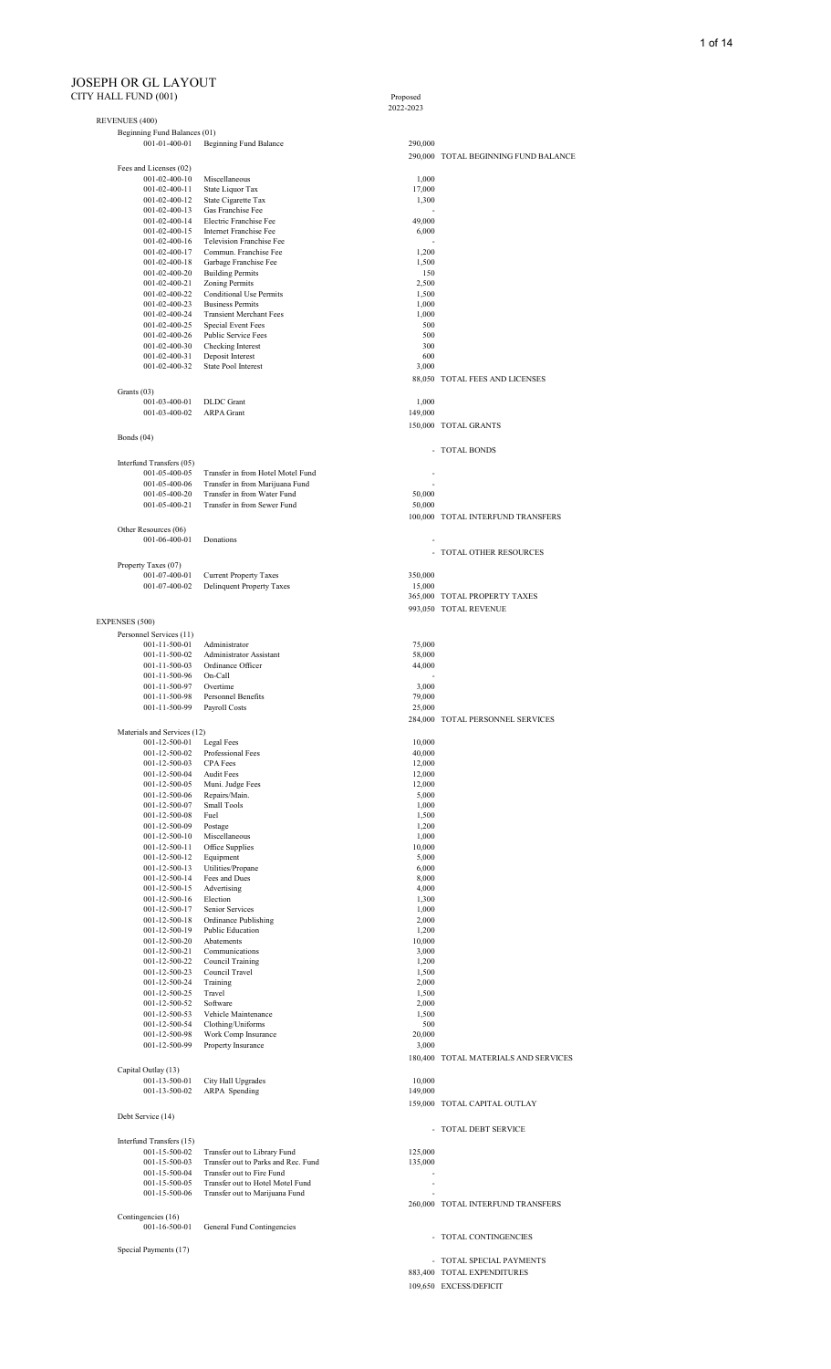#### JOSEPH OR GL LAYOUT CITY HALL FUND (001) Proposed

Proposed<br>2022-2023

| <b>REVENUES (400)</b>                          |                                                                  |                  |                                      |
|------------------------------------------------|------------------------------------------------------------------|------------------|--------------------------------------|
| Beginning Fund Balances (01)                   |                                                                  |                  |                                      |
| 001-01-400-01                                  | Beginning Fund Balance                                           | 290,000          |                                      |
|                                                |                                                                  |                  | 290,000 TOTAL BEGINNING FUND BALANCE |
| Fees and Licenses (02)                         |                                                                  |                  |                                      |
| $001 - 02 - 400 - 10$<br>$001 - 02 - 400 - 11$ | Miscellaneous<br>State Liquor Tax                                | 1,000<br>17,000  |                                      |
| 001-02-400-12                                  | State Cigarette Tax                                              | 1,300            |                                      |
| 001-02-400-13                                  | Gas Franchise Fee                                                |                  |                                      |
| 001-02-400-14                                  | Electric Franchise Fee                                           | 49,000           |                                      |
| 001-02-400-15<br>001-02-400-16                 | <b>Internet Franchise Fee</b><br>Television Franchise Fee        | 6,000            |                                      |
| 001-02-400-17                                  | Commun. Franchise Fee                                            | 1,200            |                                      |
| 001-02-400-18                                  | Garbage Franchise Fee                                            | 1,500            |                                      |
| 001-02-400-20                                  | <b>Building Permits</b>                                          | 150              |                                      |
| 001-02-400-21                                  | <b>Zoning Permits</b>                                            | 2,500            |                                      |
| 001-02-400-22<br>001-02-400-23                 | <b>Conditional Use Permits</b><br><b>Business Permits</b>        | 1,500<br>1,000   |                                      |
| 001-02-400-24                                  | <b>Transient Merchant Fees</b>                                   | 1,000            |                                      |
| 001-02-400-25                                  | Special Event Fees                                               | 500              |                                      |
| 001-02-400-26                                  | Public Service Fees                                              | 500              |                                      |
| 001-02-400-30                                  | Checking Interest                                                | 300              |                                      |
| 001-02-400-31<br>001-02-400-32                 | Deposit Interest<br>State Pool Interest                          | 600              |                                      |
|                                                |                                                                  | 3,000            | 88,050 TOTAL FEES AND LICENSES       |
| Grants (03)                                    |                                                                  |                  |                                      |
| 001-03-400-01                                  | <b>DLDC</b> Grant                                                | 1,000            |                                      |
| 001-03-400-02                                  | <b>ARPA</b> Grant                                                | 149,000          |                                      |
|                                                |                                                                  |                  | 150,000 TOTAL GRANTS                 |
| Bonds $(04)$                                   |                                                                  |                  |                                      |
|                                                |                                                                  |                  | - TOTAL BONDS                        |
| Interfund Transfers (05)                       |                                                                  |                  |                                      |
| 001-05-400-05                                  | Transfer in from Hotel Motel Fund                                |                  |                                      |
| 001-05-400-06                                  | Transfer in from Marijuana Fund                                  |                  |                                      |
| 001-05-400-20                                  | Transfer in from Water Fund                                      | 50,000           |                                      |
| 001-05-400-21                                  | Transfer in from Sewer Fund                                      | 50,000           |                                      |
|                                                |                                                                  |                  | 100,000 TOTAL INTERFUND TRANSFERS    |
| Other Resources (06)<br>001-06-400-01          | Donations                                                        |                  |                                      |
|                                                |                                                                  |                  | - TOTAL OTHER RESOURCES              |
|                                                |                                                                  |                  |                                      |
| Property Taxes (07)<br>001-07-400-01           | <b>Current Property Taxes</b>                                    | 350,000          |                                      |
| 001-07-400-02                                  | <b>Delinquent Property Taxes</b>                                 | 15,000           |                                      |
|                                                |                                                                  |                  | 365,000 TOTAL PROPERTY TAXES         |
|                                                |                                                                  |                  | 993,050 TOTAL REVENUE                |
| <b>EXPENSES (500)</b>                          |                                                                  |                  |                                      |
| Personnel Services (11)                        |                                                                  |                  |                                      |
| 001-11-500-01                                  | Administrator                                                    | 75,000           |                                      |
| 001-11-500-02                                  | Administrator Assistant                                          | 58,000           |                                      |
| 001-11-500-03<br>001-11-500-96                 | Ordinance Officer<br>On-Call                                     | 44,000           |                                      |
| 001-11-500-97                                  | Overtime                                                         | 3,000            |                                      |
| 001-11-500-98                                  | Personnel Benefits                                               | 79,000           |                                      |
| 001-11-500-99                                  | Payroll Costs                                                    | 25,000           |                                      |
|                                                |                                                                  |                  | 284,000 TOTAL PERSONNEL SERVICES     |
| Materials and Services (12)                    |                                                                  |                  |                                      |
| 001-12-500-01                                  | Legal Fees                                                       | 10,000           |                                      |
| $001 - 12 - 500 - 02$                          | Professional Fees                                                | 40,000           |                                      |
| 001-12-500-03<br>001-12-500-04                 | <b>CPA</b> Fees<br><b>Audit Fees</b>                             | 12,000<br>12,000 |                                      |
| 001-12-500-05                                  | Muni. Judge Fees                                                 | 12,000           |                                      |
| 001-12-500-06                                  | Repairs/Main.                                                    | 5,000            |                                      |
| 001-12-500-07                                  | <b>Small Tools</b>                                               | 1,000            |                                      |
| 001-12-500-08                                  | Fuel                                                             | 1,500            |                                      |
| 001-12-500-09<br>$001 - 12 - 500 - 10$         | Postage<br>Miscellaneous                                         | 1,200<br>1,000   |                                      |
| 001-12-500-11                                  | Office Supplies                                                  | 10,000           |                                      |
| $001 - 12 - 500 - 12$                          | Equipment                                                        | 5,000            |                                      |
| 001-12-500-13                                  | Utilities/Propane                                                | 6,000            |                                      |
| 001-12-500-14                                  | Fees and Dues                                                    | 8,000            |                                      |
| 001-12-500-15                                  | Advertising                                                      | 4,000            |                                      |
| 001-12-500-16<br>001-12-500-17                 | Election<br>Senior Services                                      | 1,300<br>1,000   |                                      |
| 001-12-500-18                                  | Ordinance Publishing                                             | 2,000            |                                      |
| 001-12-500-19                                  | Public Education                                                 | 1,200            |                                      |
| 001-12-500-20                                  | Abatements                                                       | 10,000           |                                      |
| 001-12-500-21                                  | Communications                                                   | 3,000            |                                      |
| 001-12-500-22<br>001-12-500-23                 | Council Training<br>Council Travel                               | 1,200<br>1,500   |                                      |
| 001-12-500-24                                  | Training                                                         | 2,000            |                                      |
| 001-12-500-25                                  | Travel                                                           | 1,500            |                                      |
| 001-12-500-52                                  | Software                                                         | 2,000            |                                      |
| 001-12-500-53                                  | Vehicle Maintenance                                              | 1,500            |                                      |
| 001-12-500-54                                  | Clothing/Uniforms                                                | 500              |                                      |
| 001-12-500-98<br>001-12-500-99                 | Work Comp Insurance<br>Property Insurance                        | 20,000<br>3,000  |                                      |
|                                                |                                                                  |                  | 180,400 TOTAL MATERIALS AND SERVICES |
| Capital Outlay (13)                            |                                                                  |                  |                                      |
| 001-13-500-01                                  | City Hall Upgrades                                               | 10,000           |                                      |
| 001-13-500-02                                  | ARPA Spending                                                    | 149,000          |                                      |
|                                                |                                                                  |                  | 159,000 TOTAL CAPITAL OUTLAY         |
| Debt Service (14)                              |                                                                  |                  |                                      |
|                                                |                                                                  |                  | - TOTAL DEBT SERVICE                 |
| Interfund Transfers (15)                       |                                                                  |                  |                                      |
| 001-15-500-02                                  | Transfer out to Library Fund                                     | 125,000          |                                      |
| 001-15-500-03<br>001-15-500-04                 | Transfer out to Parks and Rec. Fund<br>Transfer out to Fire Fund | 135,000          |                                      |
| 001-15-500-05                                  | Transfer out to Hotel Motel Fund                                 |                  |                                      |
| 001-15-500-06                                  | Transfer out to Marijuana Fund                                   |                  |                                      |
|                                                |                                                                  |                  | 260,000 TOTAL INTERFUND TRANSFERS    |
| Contingencies (16)                             |                                                                  |                  |                                      |
| 001-16-500-01                                  | General Fund Contingencies                                       |                  |                                      |
|                                                |                                                                  |                  | - TOTAL CONTINGENCIES                |
| Special Payments (17)                          |                                                                  |                  | TOTAL SPECIAL PAYMENTS               |
|                                                |                                                                  |                  | 883,400 TOTAL EXPENDITURES           |

109,650 EXCESS/DEFICIT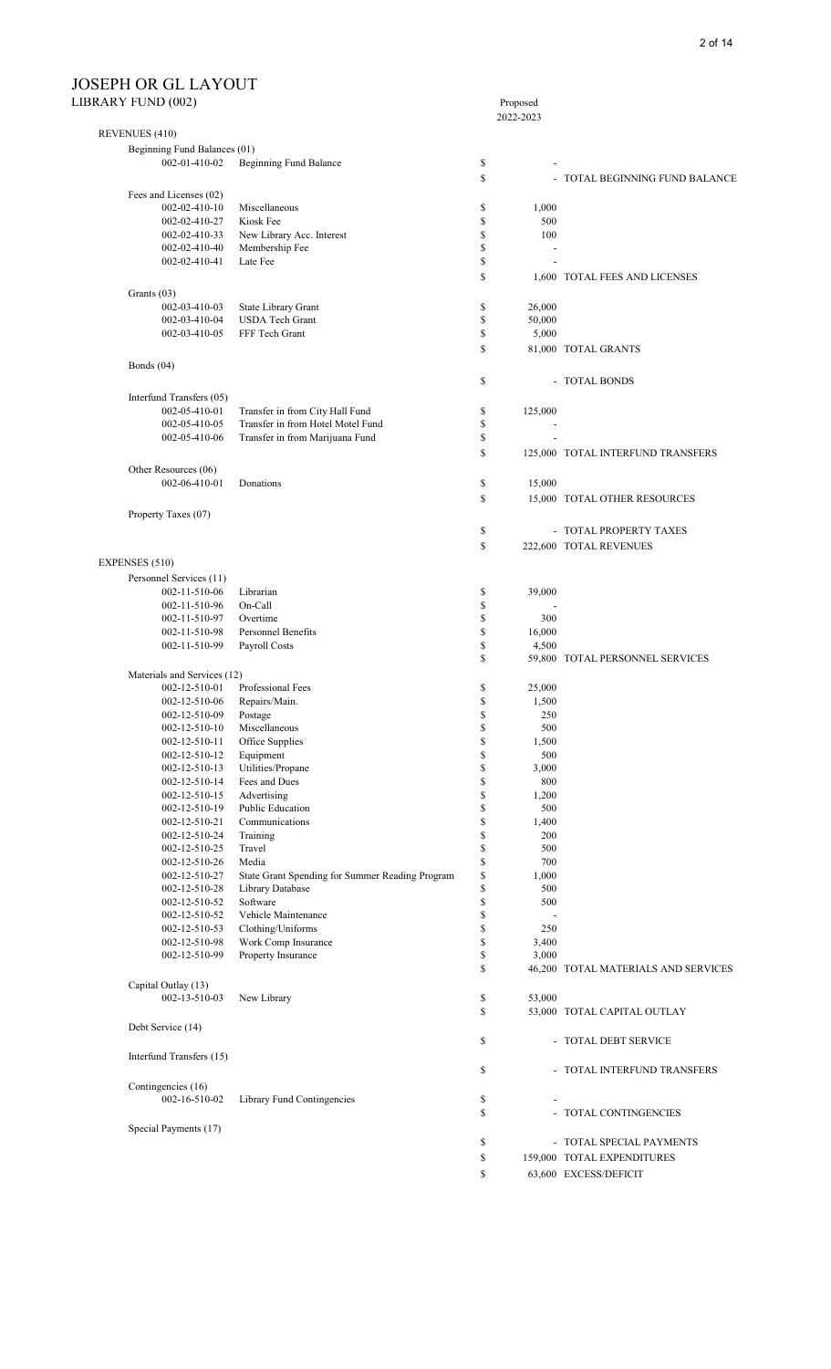|                                |                                                 |              | $110$ posed<br>2022-2023 |                                     |
|--------------------------------|-------------------------------------------------|--------------|--------------------------|-------------------------------------|
| REVENUES (410)                 |                                                 |              |                          |                                     |
| Beginning Fund Balances (01)   |                                                 |              |                          |                                     |
| 002-01-410-02                  | Beginning Fund Balance                          | \$           |                          |                                     |
|                                |                                                 | \$           |                          | - TOTAL BEGINNING FUND BALANCE      |
| Fees and Licenses (02)         |                                                 |              |                          |                                     |
| 002-02-410-10                  | Miscellaneous                                   | \$           | 1,000                    |                                     |
| 002-02-410-27                  | Kiosk Fee                                       | \$           | 500                      |                                     |
| 002-02-410-33                  | New Library Acc. Interest                       | \$           | 100                      |                                     |
| 002-02-410-40                  | Membership Fee                                  | \$           |                          |                                     |
| 002-02-410-41                  | Late Fee                                        | \$           |                          |                                     |
|                                |                                                 | \$           |                          | 1,600 TOTAL FEES AND LICENSES       |
| Grants (03)                    |                                                 |              |                          |                                     |
| 002-03-410-03                  | State Library Grant                             | \$           | 26,000                   |                                     |
| 002-03-410-04                  | <b>USDA Tech Grant</b>                          | \$           | 50,000                   |                                     |
| 002-03-410-05                  | FFF Tech Grant                                  | \$           | 5,000                    |                                     |
|                                |                                                 | \$           |                          | 81,000 TOTAL GRANTS                 |
| Bonds $(04)$                   |                                                 |              |                          |                                     |
|                                |                                                 |              |                          |                                     |
|                                |                                                 | \$           |                          | - TOTAL BONDS                       |
| Interfund Transfers (05)       |                                                 |              |                          |                                     |
| 002-05-410-01                  | Transfer in from City Hall Fund                 | \$           | 125,000                  |                                     |
| 002-05-410-05                  | Transfer in from Hotel Motel Fund               | \$           |                          |                                     |
| 002-05-410-06                  | Transfer in from Marijuana Fund                 | \$           |                          |                                     |
|                                |                                                 | \$           |                          | 125,000 TOTAL INTERFUND TRANSFERS   |
| Other Resources (06)           |                                                 |              |                          |                                     |
| 002-06-410-01                  | Donations                                       | \$           | 15,000                   |                                     |
|                                |                                                 | \$           |                          | 15,000 TOTAL OTHER RESOURCES        |
| Property Taxes (07)            |                                                 |              |                          |                                     |
|                                |                                                 | \$           |                          | - TOTAL PROPERTY TAXES              |
|                                |                                                 |              |                          |                                     |
|                                |                                                 | \$           |                          | 222,600 TOTAL REVENUES              |
| EXPENSES (510)                 |                                                 |              |                          |                                     |
| Personnel Services (11)        |                                                 |              |                          |                                     |
| 002-11-510-06                  | Librarian                                       | \$           | 39,000                   |                                     |
| 002-11-510-96                  | On-Call                                         | \$           |                          |                                     |
| 002-11-510-97                  | Overtime                                        | \$           | 300                      |                                     |
| 002-11-510-98                  | Personnel Benefits                              | \$           | 16,000                   |                                     |
| 002-11-510-99                  | Payroll Costs                                   | \$           | 4,500                    |                                     |
|                                |                                                 | \$           |                          | 59,800 TOTAL PERSONNEL SERVICES     |
| Materials and Services (12)    |                                                 |              |                          |                                     |
| 002-12-510-01                  | Professional Fees                               | \$           | 25,000                   |                                     |
| 002-12-510-06                  | Repairs/Main.                                   | \$           | 1,500                    |                                     |
| 002-12-510-09                  | Postage                                         | \$           | 250                      |                                     |
| 002-12-510-10                  | Miscellaneous                                   | \$           | 500                      |                                     |
| 002-12-510-11                  | Office Supplies                                 | \$           | 1,500                    |                                     |
| 002-12-510-12                  | Equipment                                       | \$           | 500                      |                                     |
| 002-12-510-13                  | Utilities/Propane                               | \$           | 3,000                    |                                     |
| 002-12-510-14<br>002-12-510-15 | Fees and Dues<br>Advertising                    | \$<br>\$     | 800<br>1,200             |                                     |
| 002-12-510-19                  | Public Education                                | \$           | 500                      |                                     |
| 002-12-510-21                  | Communications                                  | \$           | 1,400                    |                                     |
| 002-12-510-24                  | Training                                        | \$           | 200                      |                                     |
| 002-12-510-25                  | Travel                                          | \$           | 500                      |                                     |
| 002-12-510-26                  | Media                                           | \$           | 700                      |                                     |
| 002-12-510-27                  | State Grant Spending for Summer Reading Program | \$           | 1,000                    |                                     |
| 002-12-510-28                  | Library Database                                | \$           | 500                      |                                     |
| 002-12-510-52                  | Software                                        | \$           | 500                      |                                     |
| 002-12-510-52                  | Vehicle Maintenance                             | \$           |                          |                                     |
| 002-12-510-53                  | Clothing/Uniforms                               | \$           | 250                      |                                     |
| 002-12-510-98                  | Work Comp Insurance                             | \$           | 3,400                    |                                     |
| 002-12-510-99                  | Property Insurance                              | \$           | 3,000                    |                                     |
|                                |                                                 | \$           |                          | 46,200 TOTAL MATERIALS AND SERVICES |
| Capital Outlay (13)            |                                                 |              |                          |                                     |
| 002-13-510-03                  | New Library                                     | \$           | 53,000                   |                                     |
|                                |                                                 | $\mathbb{S}$ |                          | 53,000 TOTAL CAPITAL OUTLAY         |
| Debt Service (14)              |                                                 |              |                          |                                     |
|                                |                                                 | \$           |                          | - TOTAL DEBT SERVICE                |
|                                |                                                 |              |                          |                                     |
| Interfund Transfers (15)       |                                                 |              |                          |                                     |
|                                |                                                 | \$           |                          | - TOTAL INTERFUND TRANSFERS         |
| Contingencies (16)             |                                                 |              |                          |                                     |
| 002-16-510-02                  | Library Fund Contingencies                      | \$           |                          |                                     |
|                                |                                                 | \$           |                          | - TOTAL CONTINGENCIES               |
| Special Payments (17)          |                                                 |              |                          |                                     |
|                                |                                                 | \$           |                          | - TOTAL SPECIAL PAYMENTS            |
|                                |                                                 | \$           |                          | 159,000 TOTAL EXPENDITURES          |
|                                |                                                 | \$           |                          | 63,600 EXCESS/DEFICIT               |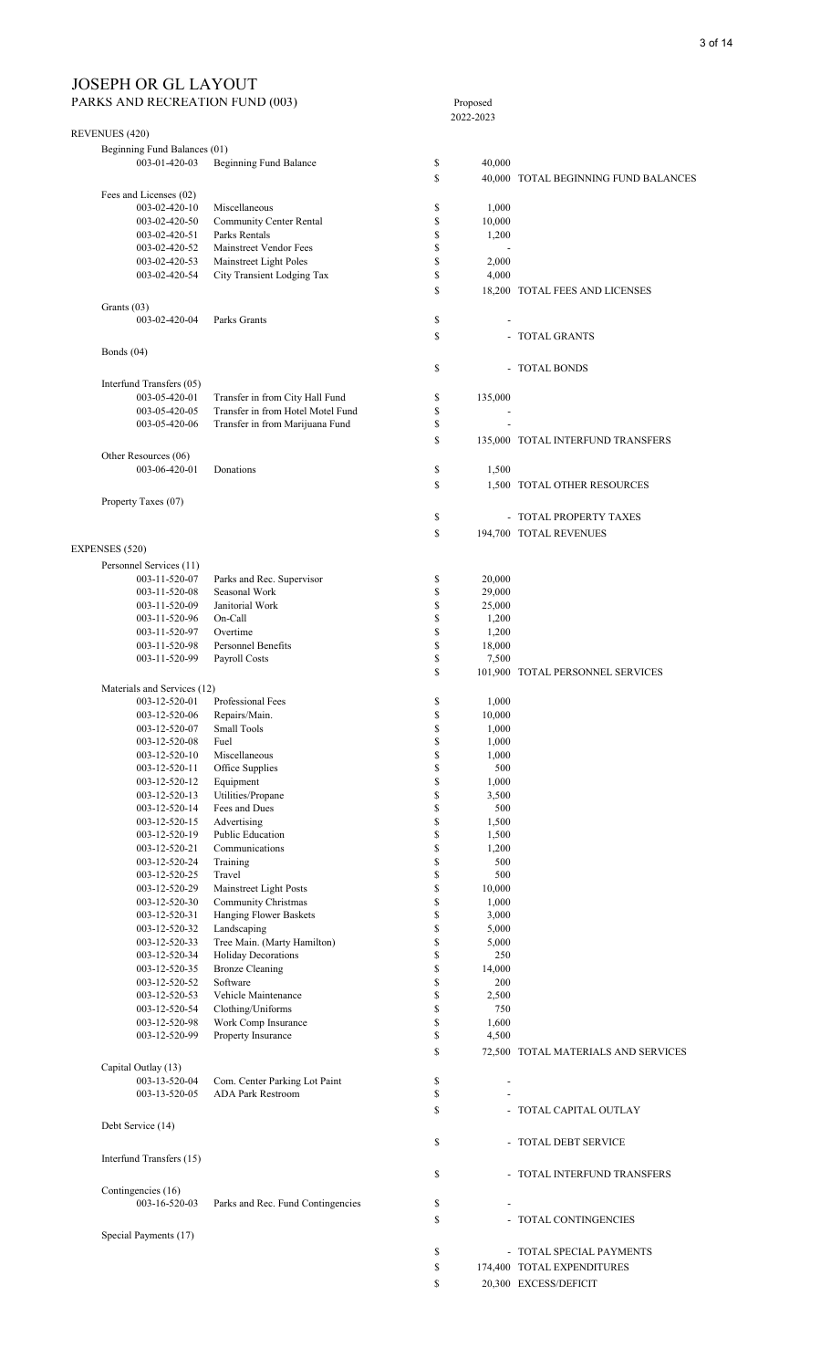PARKS AND RECREATION FUND (003) Proposed

|                                |                                       |                    | 2022-2023                    |                                      |
|--------------------------------|---------------------------------------|--------------------|------------------------------|--------------------------------------|
| REVENUES (420)                 |                                       |                    |                              |                                      |
| Beginning Fund Balances (01)   |                                       |                    |                              |                                      |
| 003-01-420-03                  | Beginning Fund Balance                | \$                 | 40,000                       |                                      |
|                                |                                       | $\mathbb{S}$       |                              | 40,000 TOTAL BEGINNING FUND BALANCES |
| Fees and Licenses (02)         |                                       |                    |                              |                                      |
| 003-02-420-10                  | Miscellaneous                         | \$                 | 1,000                        |                                      |
| 003-02-420-50                  | Community Center Rental               | \$                 | 10,000                       |                                      |
| 003-02-420-51                  | Parks Rentals                         | \$                 | 1,200                        |                                      |
| 003-02-420-52                  | Mainstreet Vendor Fees                | \$                 |                              |                                      |
| 003-02-420-53                  | Mainstreet Light Poles                | \$                 | 2,000                        |                                      |
| 003-02-420-54                  | City Transient Lodging Tax            | \$                 | 4,000                        |                                      |
|                                |                                       | <b>S</b>           |                              | 18,200 TOTAL FEES AND LICENSES       |
| Grants (03)                    |                                       |                    |                              |                                      |
| 003-02-420-04                  | Parks Grants                          | \$                 |                              |                                      |
|                                |                                       | \$                 |                              | - TOTAL GRANTS                       |
| Bonds $(04)$                   |                                       |                    |                              |                                      |
|                                |                                       |                    |                              |                                      |
|                                |                                       | $\mathbb{S}$       |                              | - TOTAL BONDS                        |
| Interfund Transfers (05)       |                                       |                    |                              |                                      |
| 003-05-420-01                  | Transfer in from City Hall Fund       | \$                 | 135,000                      |                                      |
| 003-05-420-05                  | Transfer in from Hotel Motel Fund     | \$                 |                              |                                      |
| 003-05-420-06                  | Transfer in from Marijuana Fund       | \$                 |                              |                                      |
|                                |                                       | S                  |                              | 135,000 TOTAL INTERFUND TRANSFERS    |
| Other Resources (06)           |                                       |                    |                              |                                      |
| 003-06-420-01                  | Donations                             | \$                 | 1,500                        |                                      |
|                                |                                       | \$                 |                              | 1,500 TOTAL OTHER RESOURCES          |
| Property Taxes (07)            |                                       |                    |                              |                                      |
|                                |                                       | \$                 |                              | - TOTAL PROPERTY TAXES               |
|                                |                                       | \$                 |                              | 194,700 TOTAL REVENUES               |
|                                |                                       |                    |                              |                                      |
| EXPENSES (520)                 |                                       |                    |                              |                                      |
| Personnel Services (11)        |                                       |                    |                              |                                      |
| 003-11-520-07                  | Parks and Rec. Supervisor             | \$                 | 20,000                       |                                      |
| 003-11-520-08                  | Seasonal Work                         | \$                 | 29,000                       |                                      |
| 003-11-520-09                  | Janitorial Work                       | \$                 | 25,000                       |                                      |
| 003-11-520-96                  | On-Call                               | \$                 | 1,200                        |                                      |
| 003-11-520-97                  | Overtime<br><b>Personnel Benefits</b> | \$<br>\$           | 1,200                        |                                      |
| 003-11-520-98                  |                                       |                    | 18,000                       |                                      |
| 003-11-520-99                  | Payroll Costs                         | \$<br>$\mathbb{S}$ | 7,500                        |                                      |
|                                |                                       |                    |                              | 101,900 TOTAL PERSONNEL SERVICES     |
| Materials and Services (12)    |                                       |                    |                              |                                      |
| 003-12-520-01                  | Professional Fees                     | \$<br>\$           | 1,000<br>10,000              |                                      |
| 003-12-520-06<br>003-12-520-07 | Repairs/Main.<br><b>Small Tools</b>   | $\mathbb S$        | 1,000                        |                                      |
| 003-12-520-08                  | Fuel                                  | \$                 | 1,000                        |                                      |
| 003-12-520-10                  | Miscellaneous                         | \$                 | 1,000                        |                                      |
| 003-12-520-11                  | Office Supplies                       | \$                 | 500                          |                                      |
| 003-12-520-12                  | Equipment                             | \$                 | 1,000                        |                                      |
| 003-12-520-13                  | Utilities/Propane                     | \$                 | 3,500                        |                                      |
| 003-12-520-14                  | Fees and Dues                         | \$                 | 500                          |                                      |
| 003-12-520-15                  | Advertising                           | \$                 | 1,500                        |                                      |
| 003-12-520-19                  | <b>Public Education</b>               | $\mathbb S$        | 1,500                        |                                      |
| 003-12-520-21                  | Communications                        | \$                 | 1,200                        |                                      |
| 003-12-520-24                  | Training                              | $\mathbb{S}$       | 500                          |                                      |
| 003-12-520-25                  | Travel                                | \$                 | 500                          |                                      |
| 003-12-520-29                  | Mainstreet Light Posts                | \$                 | 10,000                       |                                      |
| 003-12-520-30                  | Community Christmas                   | $\mathbb{S}$       | 1,000                        |                                      |
| 003-12-520-31                  | Hanging Flower Baskets                | \$                 | 3,000                        |                                      |
| 003-12-520-32                  | Landscaping                           | \$                 | 5,000                        |                                      |
| 003-12-520-33                  | Tree Main. (Marty Hamilton)           | \$                 | 5,000                        |                                      |
| 003-12-520-34                  | Holiday Decorations                   | $\mathbb S$        | 250                          |                                      |
| 003-12-520-35                  | <b>Bronze Cleaning</b>                | \$                 | 14,000                       |                                      |
| 003-12-520-52                  | Software                              | $\mathbb S$        | 200                          |                                      |
| 003-12-520-53                  | Vehicle Maintenance                   | \$                 | 2,500                        |                                      |
| 003-12-520-54                  | Clothing/Uniforms                     | \$                 | 750                          |                                      |
| 003-12-520-98                  | Work Comp Insurance                   | $\mathbb{S}$       | 1,600                        |                                      |
| 003-12-520-99                  | Property Insurance                    | \$                 | 4,500                        |                                      |
|                                |                                       | \$                 |                              | 72,500 TOTAL MATERIALS AND SERVICES  |
| Capital Outlay (13)            |                                       |                    |                              |                                      |
| 003-13-520-04                  | Com. Center Parking Lot Paint         | \$                 | $\qquad \qquad \blacksquare$ |                                      |
| 003-13-520-05                  | <b>ADA Park Restroom</b>              | \$                 |                              |                                      |
|                                |                                       | \$                 |                              | - TOTAL CAPITAL OUTLAY               |
| Debt Service (14)              |                                       |                    |                              |                                      |
|                                |                                       | \$                 |                              | - TOTAL DEBT SERVICE                 |
|                                |                                       |                    |                              |                                      |
| Interfund Transfers (15)       |                                       |                    |                              |                                      |
|                                |                                       | \$                 |                              | - TOTAL INTERFUND TRANSFERS          |
| Contingencies (16)             |                                       |                    |                              |                                      |
| 003-16-520-03                  | Parks and Rec. Fund Contingencies     | \$                 |                              |                                      |
|                                |                                       | $\mathbf S$        |                              | - TOTAL CONTINGENCIES                |
| Special Payments (17)          |                                       |                    |                              |                                      |
|                                |                                       | \$                 |                              | - TOTAL SPECIAL PAYMENTS             |
|                                |                                       | \$                 |                              | 174,400 TOTAL EXPENDITURES           |
|                                |                                       |                    |                              |                                      |
|                                |                                       | \$                 |                              | 20,300 EXCESS/DEFICIT                |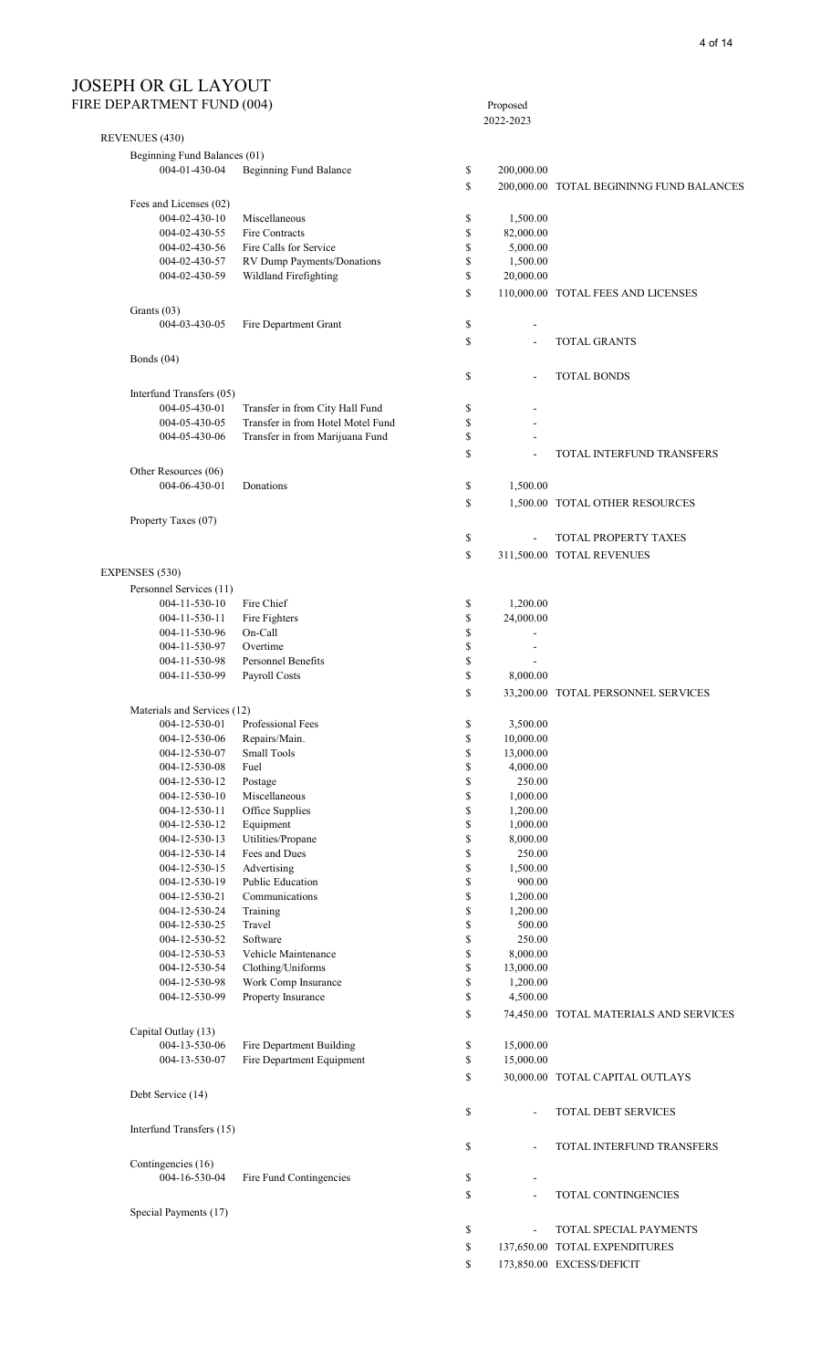#### JOSEPH OR GL LAYOUT FIRE DEPARTMENT FUND (004) Proposed

| <b>DEL ARTIVILIVI I OND (007)</b> |                                                                      |          | 1 Toposca<br>2022-2023   |                                          |
|-----------------------------------|----------------------------------------------------------------------|----------|--------------------------|------------------------------------------|
| <b>REVENUES (430)</b>             |                                                                      |          |                          |                                          |
| Beginning Fund Balances (01)      |                                                                      |          |                          |                                          |
| 004-01-430-04                     | <b>Beginning Fund Balance</b>                                        | \$       | 200,000.00               |                                          |
|                                   |                                                                      | \$       |                          | 200,000.00 TOTAL BEGININNG FUND BALANCES |
| Fees and Licenses (02)            |                                                                      |          |                          |                                          |
| 004-02-430-10                     | Miscellaneous                                                        | \$       | 1,500.00                 |                                          |
| 004-02-430-55                     | Fire Contracts                                                       | \$       | 82,000.00                |                                          |
| 004-02-430-56<br>004-02-430-57    | Fire Calls for Service<br>RV Dump Payments/Donations                 | \$<br>\$ | 5,000.00<br>1,500.00     |                                          |
| 004-02-430-59                     | Wildland Firefighting                                                | \$       | 20,000.00                |                                          |
|                                   |                                                                      | \$       |                          | 110,000.00 TOTAL FEES AND LICENSES       |
| Grants (03)                       |                                                                      |          |                          |                                          |
| 004-03-430-05                     | Fire Department Grant                                                | \$       | $\overline{\phantom{a}}$ |                                          |
|                                   |                                                                      | \$       | $\overline{\phantom{a}}$ | <b>TOTAL GRANTS</b>                      |
| Bonds (04)                        |                                                                      |          |                          |                                          |
|                                   |                                                                      | \$       | $\overline{\phantom{a}}$ | <b>TOTAL BONDS</b>                       |
| Interfund Transfers (05)          |                                                                      |          |                          |                                          |
| 004-05-430-01                     | Transfer in from City Hall Fund                                      | \$       |                          |                                          |
| 004-05-430-05<br>004-05-430-06    | Transfer in from Hotel Motel Fund<br>Transfer in from Marijuana Fund | \$<br>\$ |                          |                                          |
|                                   |                                                                      | \$       | $\overline{\phantom{a}}$ | TOTAL INTERFUND TRANSFERS                |
| Other Resources (06)              |                                                                      |          |                          |                                          |
| 004-06-430-01                     | Donations                                                            | \$       | 1,500.00                 |                                          |
|                                   |                                                                      | \$       |                          | 1,500.00 TOTAL OTHER RESOURCES           |
| Property Taxes (07)               |                                                                      |          |                          |                                          |
|                                   |                                                                      | \$       | $\overline{\phantom{a}}$ | TOTAL PROPERTY TAXES                     |
|                                   |                                                                      | \$       |                          | 311,500.00 TOTAL REVENUES                |
| EXPENSES (530)                    |                                                                      |          |                          |                                          |
| Personnel Services (11)           |                                                                      |          |                          |                                          |
| 004-11-530-10                     | Fire Chief                                                           | \$       | 1,200.00                 |                                          |
| $004 - 11 - 530 - 11$             | Fire Fighters                                                        | \$       | 24,000.00                |                                          |
| 004-11-530-96                     | On-Call                                                              | \$       | $\overline{\phantom{a}}$ |                                          |
| 004-11-530-97<br>004-11-530-98    | Overtime<br>Personnel Benefits                                       | \$<br>\$ | $\overline{\phantom{a}}$ |                                          |
| 004-11-530-99                     | Payroll Costs                                                        | \$       | 8,000.00                 |                                          |
|                                   |                                                                      | \$       |                          | 33,200.00 TOTAL PERSONNEL SERVICES       |
| Materials and Services (12)       |                                                                      |          |                          |                                          |
| 004-12-530-01                     | Professional Fees                                                    | \$       | 3,500.00                 |                                          |
| 004-12-530-06                     | Repairs/Main.                                                        | \$       | 10,000.00                |                                          |
| 004-12-530-07                     | <b>Small Tools</b>                                                   | \$       | 13,000.00                |                                          |
| 004-12-530-08                     | Fuel                                                                 | \$       | 4,000.00                 |                                          |
| 004-12-530-12<br>004-12-530-10    | Postage<br>Miscellaneous                                             | \$<br>\$ | 250.00<br>1,000.00       |                                          |
| 004-12-530-11                     | Office Supplies                                                      | \$       | 1,200.00                 |                                          |
| 004-12-530-12                     | Equipment                                                            | \$       | 1,000.00                 |                                          |
| 004-12-530-13                     | Utilities/Propane                                                    | \$       | 8,000.00                 |                                          |
| 004-12-530-14                     | Fees and Dues                                                        | \$       | 250.00                   |                                          |
| 004-12-530-15                     | Advertising                                                          | \$       | 1,500.00                 |                                          |
| 004-12-530-19                     | <b>Public Education</b>                                              | \$       | 900.00                   |                                          |
| 004-12-530-21                     | Communications                                                       | \$       | 1,200.00                 |                                          |
| 004-12-530-24<br>004-12-530-25    | Training<br>Travel                                                   | \$       | 1,200.00<br>500.00       |                                          |
| 004-12-530-52                     | Software                                                             | \$<br>\$ | 250.00                   |                                          |
| 004-12-530-53                     | Vehicle Maintenance                                                  | \$       | 8,000.00                 |                                          |
| 004-12-530-54                     | Clothing/Uniforms                                                    | \$       | 13,000.00                |                                          |
| 004-12-530-98                     | Work Comp Insurance                                                  | \$       | 1,200.00                 |                                          |
| 004-12-530-99                     | Property Insurance                                                   | \$       | 4,500.00                 |                                          |
|                                   |                                                                      | \$       |                          | 74,450.00 TOTAL MATERIALS AND SERVICES   |
| Capital Outlay (13)               |                                                                      |          |                          |                                          |
| 004-13-530-06<br>004-13-530-07    | Fire Department Building<br>Fire Department Equipment                | \$<br>\$ | 15,000.00<br>15,000.00   |                                          |
|                                   |                                                                      | \$       |                          | 30,000.00 TOTAL CAPITAL OUTLAYS          |
| Debt Service (14)                 |                                                                      |          |                          |                                          |
|                                   |                                                                      | \$       | $\blacksquare$           | TOTAL DEBT SERVICES                      |
| Interfund Transfers (15)          |                                                                      |          |                          |                                          |
|                                   |                                                                      | \$       | $\overline{\phantom{a}}$ | TOTAL INTERFUND TRANSFERS                |
| Contingencies (16)                |                                                                      |          |                          |                                          |
| 004-16-530-04                     | Fire Fund Contingencies                                              | \$       | $\overline{\phantom{a}}$ |                                          |
|                                   |                                                                      | \$       | $\overline{\phantom{a}}$ | <b>TOTAL CONTINGENCIES</b>               |
| Special Payments (17)             |                                                                      |          |                          |                                          |
|                                   |                                                                      | \$       | ÷,                       | TOTAL SPECIAL PAYMENTS                   |
|                                   |                                                                      | \$       |                          | 137,650.00 TOTAL EXPENDITURES            |
|                                   |                                                                      | \$       |                          | 173,850.00 EXCESS/DEFICIT                |
|                                   |                                                                      |          |                          |                                          |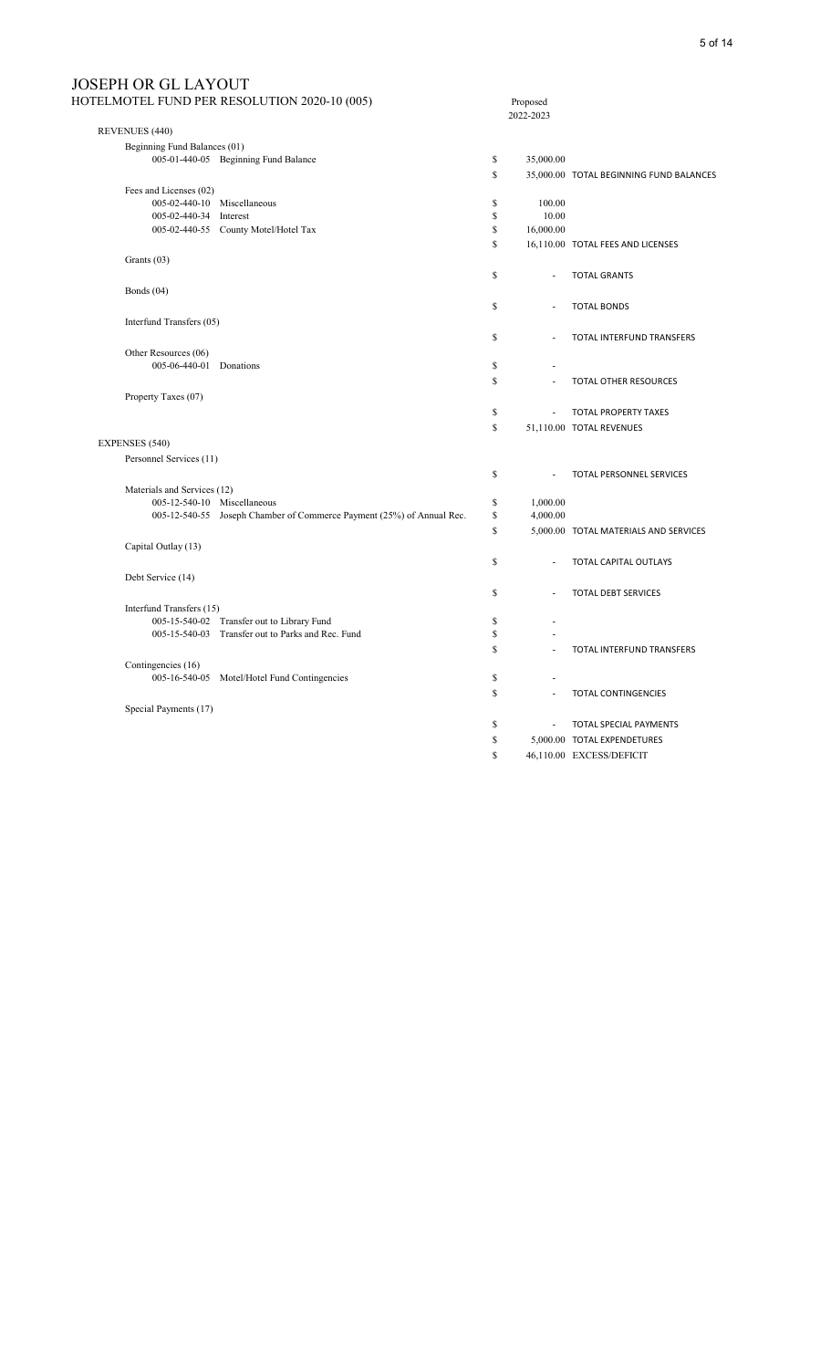| <b>JOSEPH OR GL LAYOUT</b>   |                                                                       |          |                          |                                         |
|------------------------------|-----------------------------------------------------------------------|----------|--------------------------|-----------------------------------------|
|                              | HOTELMOTEL FUND PER RESOLUTION 2020-10 (005)                          |          | Proposed<br>2022-2023    |                                         |
| REVENUES (440)               |                                                                       |          |                          |                                         |
| Beginning Fund Balances (01) |                                                                       |          |                          |                                         |
|                              | 005-01-440-05 Beginning Fund Balance                                  | \$       | 35,000.00                |                                         |
|                              |                                                                       | S        |                          | 35,000.00 TOTAL BEGINNING FUND BALANCES |
| Fees and Licenses (02)       |                                                                       |          |                          |                                         |
| 005-02-440-10 Miscellaneous  |                                                                       | \$       | 100.00                   |                                         |
| 005-02-440-34 Interest       |                                                                       | \$<br>\$ | 10.00                    |                                         |
|                              | 005-02-440-55 County Motel/Hotel Tax                                  |          | 16,000.00                |                                         |
|                              |                                                                       | \$       |                          | 16,110.00 TOTAL FEES AND LICENSES       |
| Grants (03)                  |                                                                       |          |                          |                                         |
|                              |                                                                       | \$       | $\overline{a}$           | <b>TOTAL GRANTS</b>                     |
| Bonds $(04)$                 |                                                                       |          |                          |                                         |
|                              |                                                                       | \$       | ÷,                       | <b>TOTAL BONDS</b>                      |
| Interfund Transfers (05)     |                                                                       |          |                          |                                         |
|                              |                                                                       | S        |                          | TOTAL INTERFUND TRANSFERS               |
| Other Resources (06)         |                                                                       |          |                          |                                         |
| 005-06-440-01 Donations      |                                                                       | \$       |                          |                                         |
|                              |                                                                       | S        |                          | TOTAL OTHER RESOURCES                   |
| Property Taxes (07)          |                                                                       |          |                          |                                         |
|                              |                                                                       | \$       | $\overline{\phantom{a}}$ | TOTAL PROPERTY TAXES                    |
|                              |                                                                       | S        |                          | 51,110.00 TOTAL REVENUES                |
| EXPENSES (540)               |                                                                       |          |                          |                                         |
| Personnel Services (11)      |                                                                       |          |                          |                                         |
|                              |                                                                       | S        | ÷,                       | TOTAL PERSONNEL SERVICES                |
| Materials and Services (12)  |                                                                       |          |                          |                                         |
| 005-12-540-10 Miscellaneous  |                                                                       | \$       | 1,000.00                 |                                         |
|                              | 005-12-540-55 Joseph Chamber of Commerce Payment (25%) of Annual Rec. | \$       | 4,000.00                 |                                         |
|                              |                                                                       | S        |                          | 5,000.00 TOTAL MATERIALS AND SERVICES   |
| Capital Outlay (13)          |                                                                       |          |                          |                                         |
|                              |                                                                       | \$       | $\overline{\phantom{a}}$ | TOTAL CAPITAL OUTLAYS                   |
| Debt Service (14)            |                                                                       |          |                          |                                         |
|                              |                                                                       | S        | $\overline{a}$           | <b>TOTAL DEBT SERVICES</b>              |
| Interfund Transfers (15)     |                                                                       |          |                          |                                         |
|                              | 005-15-540-02 Transfer out to Library Fund                            | \$       |                          |                                         |
|                              | 005-15-540-03 Transfer out to Parks and Rec. Fund                     | \$       |                          |                                         |
|                              |                                                                       | \$       | $\overline{a}$           | TOTAL INTERFUND TRANSFERS               |
| Contingencies (16)           |                                                                       |          |                          |                                         |
|                              | 005-16-540-05 Motel/Hotel Fund Contingencies                          | \$       | $\overline{\phantom{a}}$ |                                         |
|                              |                                                                       | S        | $\overline{a}$           | <b>TOTAL CONTINGENCIES</b>              |
| Special Payments (17)        |                                                                       |          |                          |                                         |
|                              |                                                                       | \$       | ÷,                       | TOTAL SPECIAL PAYMENTS                  |
|                              |                                                                       | \$       |                          | 5,000.00 TOTAL EXPENDETURES             |
|                              |                                                                       | S        |                          | 46,110.00 EXCESS/DEFICIT                |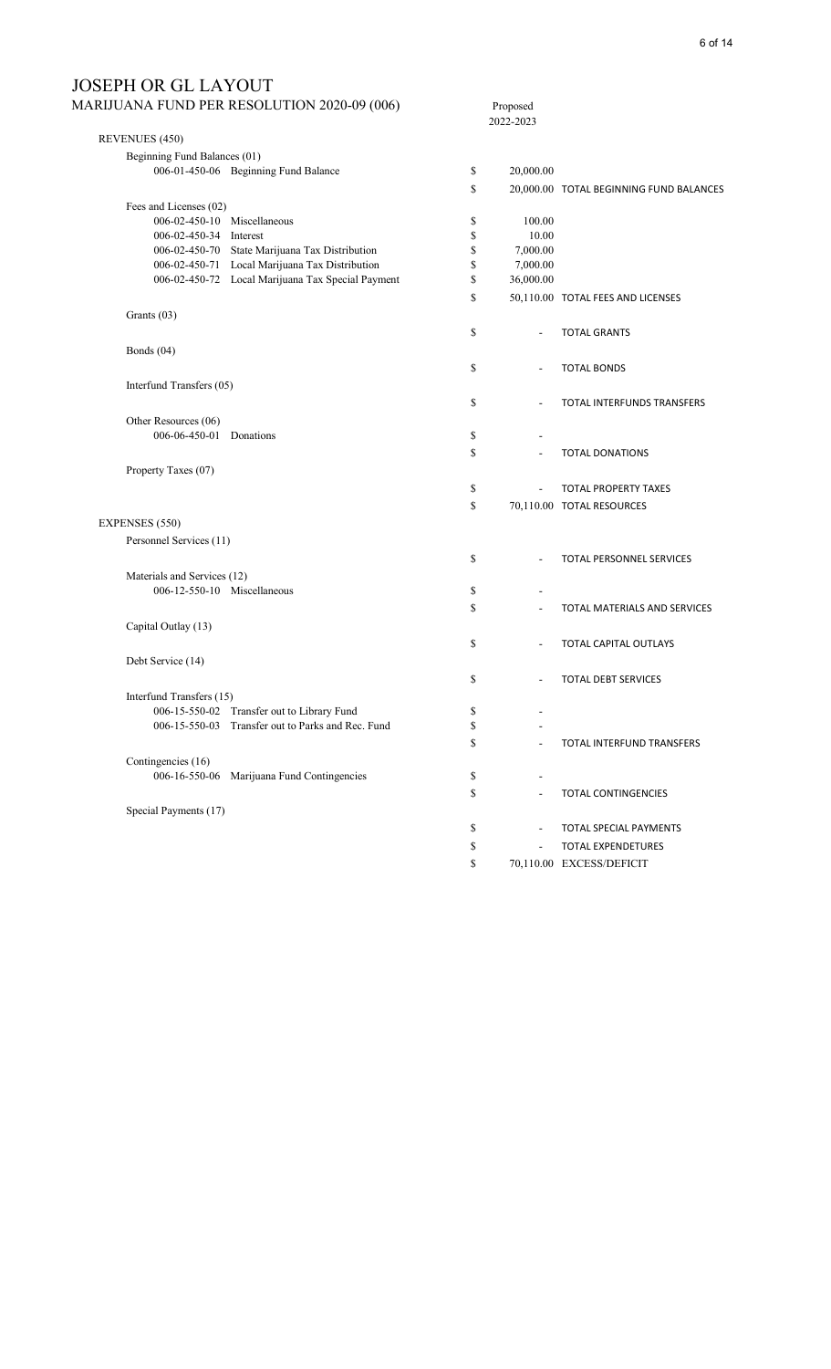# JOSEPH OR GL LAYOUT<br>MARIJUANA FUND PER RESOLU

|                                                 | MARIJUANA FUND PER RESOLUTION 2020-09 (006)       | Proposed<br>2022-2023          |                                         |
|-------------------------------------------------|---------------------------------------------------|--------------------------------|-----------------------------------------|
| REVENUES (450)                                  |                                                   |                                |                                         |
| Beginning Fund Balances (01)                    |                                                   |                                |                                         |
|                                                 | 006-01-450-06 Beginning Fund Balance              | \$<br>20,000.00                |                                         |
|                                                 |                                                   | \$                             | 20,000.00 TOTAL BEGINNING FUND BALANCES |
| Fees and Licenses (02)                          |                                                   |                                |                                         |
| 006-02-450-10 Miscellaneous                     |                                                   | \$<br>100.00                   |                                         |
| 006-02-450-34 Interest                          |                                                   | \$<br>10.00                    |                                         |
|                                                 | 006-02-450-70 State Marijuana Tax Distribution    | \$<br>7,000.00                 |                                         |
|                                                 | 006-02-450-71 Local Marijuana Tax Distribution    | \$<br>7,000.00                 |                                         |
|                                                 | 006-02-450-72 Local Marijuana Tax Special Payment | \$<br>36,000.00                |                                         |
|                                                 |                                                   | \$                             | 50,110.00 TOTAL FEES AND LICENSES       |
| Grants (03)                                     |                                                   |                                |                                         |
|                                                 |                                                   | \$                             | <b>TOTAL GRANTS</b>                     |
| Bonds (04)                                      |                                                   |                                |                                         |
|                                                 |                                                   | \$<br>$\blacksquare$           | <b>TOTAL BONDS</b>                      |
| Interfund Transfers (05)                        |                                                   |                                |                                         |
|                                                 |                                                   | \$                             | TOTAL INTERFUNDS TRANSFERS              |
|                                                 |                                                   | $\overline{\phantom{a}}$       |                                         |
| Other Resources (06)<br>006-06-450-01 Donations |                                                   |                                |                                         |
|                                                 |                                                   | \$                             |                                         |
|                                                 |                                                   | \$                             | <b>TOTAL DONATIONS</b>                  |
| Property Taxes (07)                             |                                                   |                                |                                         |
|                                                 |                                                   | \$                             | <b>TOTAL PROPERTY TAXES</b>             |
|                                                 |                                                   | \$                             | 70,110.00 TOTAL RESOURCES               |
| <b>EXPENSES</b> (550)                           |                                                   |                                |                                         |
| Personnel Services (11)                         |                                                   |                                |                                         |
|                                                 |                                                   | \$<br>$\sim$                   | TOTAL PERSONNEL SERVICES                |
| Materials and Services (12)                     |                                                   |                                |                                         |
| 006-12-550-10 Miscellaneous                     |                                                   | \$                             |                                         |
|                                                 |                                                   | \$                             | TOTAL MATERIALS AND SERVICES            |
| Capital Outlay (13)                             |                                                   |                                |                                         |
|                                                 |                                                   | \$<br>÷,                       | TOTAL CAPITAL OUTLAYS                   |
|                                                 |                                                   |                                |                                         |
| Debt Service (14)                               |                                                   |                                |                                         |
|                                                 |                                                   | \$                             | <b>TOTAL DEBT SERVICES</b>              |
| Interfund Transfers (15)                        |                                                   |                                |                                         |
|                                                 | 006-15-550-02 Transfer out to Library Fund        | \$<br>$\overline{\phantom{a}}$ |                                         |
|                                                 | 006-15-550-03 Transfer out to Parks and Rec. Fund | \$                             |                                         |
|                                                 |                                                   | \$                             | TOTAL INTERFUND TRANSFERS               |
| Contingencies (16)                              |                                                   |                                |                                         |
|                                                 | 006-16-550-06 Marijuana Fund Contingencies        | \$                             |                                         |
|                                                 |                                                   | \$                             | <b>TOTAL CONTINGENCIES</b>              |
| Special Payments (17)                           |                                                   |                                |                                         |
|                                                 |                                                   | \$<br>$\overline{\phantom{a}}$ | TOTAL SPECIAL PAYMENTS                  |
|                                                 |                                                   | \$<br>$\sim$                   | TOTAL EXPENDETURES                      |
|                                                 |                                                   | \$                             | 70,110.00 EXCESS/DEFICIT                |
|                                                 |                                                   |                                |                                         |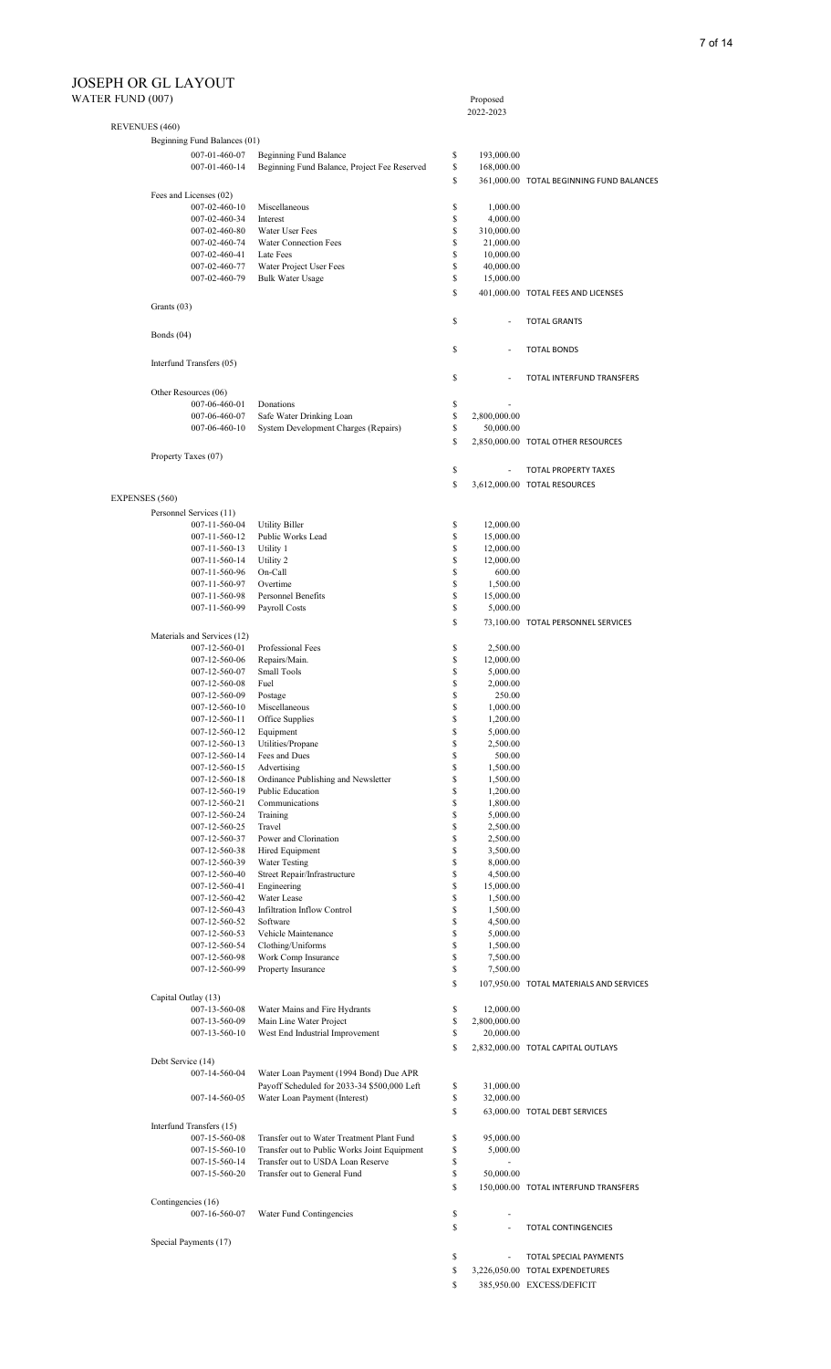| ILL FLITULD TTUUT |                          | Beginning Fund Balances (01)   |                                                                   |          |                          |                                          |
|-------------------|--------------------------|--------------------------------|-------------------------------------------------------------------|----------|--------------------------|------------------------------------------|
|                   |                          | 007-01-460-07                  | Beginning Fund Balance                                            | \$       | 193,000.00               |                                          |
|                   |                          | 007-01-460-14                  | Beginning Fund Balance, Project Fee Reserved                      | \$       | 168,000.00               |                                          |
|                   |                          |                                |                                                                   | \$       |                          | 361,000.00 TOTAL BEGINNING FUND BALANCES |
|                   | Fees and Licenses (02)   |                                |                                                                   |          |                          |                                          |
|                   |                          | 007-02-460-10                  | Miscellaneous                                                     | \$       | 1,000.00                 |                                          |
|                   |                          | 007-02-460-34                  | Interest                                                          | \$       | 4,000.00                 |                                          |
|                   |                          | 007-02-460-80                  | Water User Fees<br>Water Connection Fees                          | \$<br>\$ | 310,000.00               |                                          |
|                   |                          | 007-02-460-74<br>007-02-460-41 | Late Fees                                                         | \$       | 21,000.00<br>10,000.00   |                                          |
|                   |                          | 007-02-460-77                  | Water Project User Fees                                           | \$       | 40,000.00                |                                          |
|                   |                          | 007-02-460-79                  | <b>Bulk Water Usage</b>                                           | \$       | 15,000.00                |                                          |
|                   |                          |                                |                                                                   | \$       |                          | 401,000.00 TOTAL FEES AND LICENSES       |
|                   | Grants $(03)$            |                                |                                                                   |          |                          |                                          |
|                   |                          |                                |                                                                   | \$       | ä,                       | <b>TOTAL GRANTS</b>                      |
|                   | Bonds $(04)$             |                                |                                                                   |          |                          |                                          |
|                   |                          |                                |                                                                   | \$       |                          | <b>TOTAL BONDS</b>                       |
|                   | Interfund Transfers (05) |                                |                                                                   |          |                          |                                          |
|                   |                          |                                |                                                                   | \$       |                          | TOTAL INTERFUND TRANSFERS                |
|                   | Other Resources (06)     |                                |                                                                   |          |                          |                                          |
|                   |                          | 007-06-460-01                  | Donations                                                         | \$       |                          |                                          |
|                   |                          | 007-06-460-07                  | Safe Water Drinking Loan                                          | \$       | 2,800,000.00             |                                          |
|                   |                          | 007-06-460-10                  | System Development Charges (Repairs)                              | \$       | 50,000.00                |                                          |
|                   |                          |                                |                                                                   | \$       |                          | 2,850,000.00 TOTAL OTHER RESOURCES       |
|                   | Property Taxes (07)      |                                |                                                                   |          |                          |                                          |
|                   |                          |                                |                                                                   | \$       |                          | <b>TOTAL PROPERTY TAXES</b>              |
|                   |                          |                                |                                                                   | \$       |                          | 3,612,000.00 TOTAL RESOURCES             |
| EXPENSES (560)    |                          |                                |                                                                   |          |                          |                                          |
|                   | Personnel Services (11)  |                                |                                                                   |          |                          |                                          |
|                   |                          | 007-11-560-04                  | <b>Utility Biller</b>                                             | \$       | 12,000.00                |                                          |
|                   |                          | 007-11-560-12                  | Public Works Lead                                                 | \$       | 15,000.00                |                                          |
|                   |                          | 007-11-560-13                  | Utility 1                                                         | \$       | 12,000.00                |                                          |
|                   |                          | 007-11-560-14                  | Utility 2                                                         | \$<br>\$ | 12,000.00                |                                          |
|                   |                          | 007-11-560-96<br>007-11-560-97 | On-Call<br>Overtime                                               | \$       | 600.00<br>1,500.00       |                                          |
|                   |                          | 007-11-560-98                  | Personnel Benefits                                                | \$       | 15,000.00                |                                          |
|                   |                          | 007-11-560-99                  | Payroll Costs                                                     | \$       | 5,000.00                 |                                          |
|                   |                          |                                |                                                                   | \$       |                          | 73,100.00 TOTAL PERSONNEL SERVICES       |
|                   |                          | Materials and Services (12)    |                                                                   |          |                          |                                          |
|                   |                          | 007-12-560-01                  | Professional Fees                                                 | \$       | 2,500.00                 |                                          |
|                   |                          | 007-12-560-06                  | Repairs/Main.                                                     | \$       | 12,000.00                |                                          |
|                   |                          | 007-12-560-07                  | Small Tools                                                       | \$       | 5,000.00                 |                                          |
|                   |                          | 007-12-560-08                  | Fuel                                                              | \$       | 2,000.00                 |                                          |
|                   |                          | 007-12-560-09<br>007-12-560-10 | Postage<br>Miscellaneous                                          | \$<br>\$ | 250.00<br>1,000.00       |                                          |
|                   |                          | 007-12-560-11                  | Office Supplies                                                   | \$       | 1,200.00                 |                                          |
|                   |                          | 007-12-560-12                  | Equipment                                                         | \$       | 5,000.00                 |                                          |
|                   |                          | 007-12-560-13                  | Utilities/Propane                                                 | \$       | 2,500.00                 |                                          |
|                   |                          | 007-12-560-14                  | Fees and Dues                                                     | \$       | 500.00                   |                                          |
|                   |                          | 007-12-560-15                  | Advertising                                                       | \$       | 1,500.00                 |                                          |
|                   |                          | 007-12-560-18                  | Ordinance Publishing and Newsletter                               | \$       | 1,500.00                 |                                          |
|                   |                          | 007-12-560-19<br>007-12-560-21 | Public Education<br>Communications                                | \$<br>\$ | 1,200.00<br>1,800.00     |                                          |
|                   |                          | 007-12-560-24                  | Training                                                          | \$       | 5,000.00                 |                                          |
|                   |                          | 007-12-560-25                  | Travel                                                            | \$       | 2,500.00                 |                                          |
|                   |                          | 007-12-560-37                  | Power and Clorination                                             | \$       | 2,500.00                 |                                          |
|                   |                          | 007-12-560-38                  | Hired Equipment                                                   | \$       | 3,500.00                 |                                          |
|                   |                          | 007-12-560-39                  | <b>Water Testing</b>                                              | \$       | 8,000.00                 |                                          |
|                   |                          | 007-12-560-40<br>007-12-560-41 | Street Repair/Infrastructure<br>Engineering                       | \$<br>\$ | 4,500.00<br>15,000.00    |                                          |
|                   |                          | 007-12-560-42                  | Water Lease                                                       | \$       | 1,500.00                 |                                          |
|                   |                          | 007-12-560-43                  | Infiltration Inflow Control                                       | \$       | 1,500.00                 |                                          |
|                   |                          | 007-12-560-52                  | Software                                                          | \$       | 4,500.00                 |                                          |
|                   |                          | 007-12-560-53                  | Vehicle Maintenance                                               | \$       | 5,000.00                 |                                          |
|                   |                          | 007-12-560-54                  | Clothing/Uniforms                                                 | \$       | 1,500.00                 |                                          |
|                   |                          | 007-12-560-98<br>007-12-560-99 | Work Comp Insurance<br>Property Insurance                         | \$<br>\$ | 7,500.00                 |                                          |
|                   |                          |                                |                                                                   | \$       | 7,500.00                 |                                          |
|                   |                          |                                |                                                                   |          |                          | 107,950.00 TOTAL MATERIALS AND SERVICES  |
|                   | Capital Outlay (13)      | 007-13-560-08                  | Water Mains and Fire Hydrants                                     | \$       | 12,000.00                |                                          |
|                   |                          | 007-13-560-09                  | Main Line Water Project                                           | \$       | 2,800,000.00             |                                          |
|                   |                          | 007-13-560-10                  | West End Industrial Improvement                                   | \$       | 20,000.00                |                                          |
|                   |                          |                                |                                                                   | \$       |                          | 2,832,000.00 TOTAL CAPITAL OUTLAYS       |
|                   | Debt Service (14)        |                                |                                                                   |          |                          |                                          |
|                   |                          | 007-14-560-04                  | Water Loan Payment (1994 Bond) Due APR                            |          |                          |                                          |
|                   |                          |                                | Payoff Scheduled for 2033-34 \$500,000 Left                       | \$       | 31,000.00                |                                          |
|                   |                          | 007-14-560-05                  | Water Loan Payment (Interest)                                     | \$       | 32,000.00                |                                          |
|                   |                          |                                |                                                                   | \$       |                          | 63,000.00 TOTAL DEBT SERVICES            |
|                   | Interfund Transfers (15) |                                |                                                                   |          |                          |                                          |
|                   |                          | 007-15-560-08                  | Transfer out to Water Treatment Plant Fund                        | \$       | 95,000.00                |                                          |
|                   |                          | 007-15-560-10                  | Transfer out to Public Works Joint Equipment                      | \$       | 5,000.00                 |                                          |
|                   |                          | 007-15-560-14<br>007-15-560-20 | Transfer out to USDA Loan Reserve<br>Transfer out to General Fund | \$<br>\$ | 50,000.00                |                                          |
|                   |                          |                                |                                                                   | \$       |                          | 150,000.00 TOTAL INTERFUND TRANSFERS     |
|                   |                          |                                |                                                                   |          |                          |                                          |
|                   | Contingencies (16)       | 007-16-560-07                  | Water Fund Contingencies                                          | \$       | $\overline{\phantom{a}}$ |                                          |
|                   |                          |                                |                                                                   | \$       | ÷,                       | <b>TOTAL CONTINGENCIES</b>               |
|                   |                          |                                |                                                                   |          |                          |                                          |
|                   | Special Payments (17)    |                                |                                                                   |          |                          |                                          |
|                   |                          |                                |                                                                   | \$       | ÷,                       | TOTAL SPECIAL PAYMENTS                   |
|                   |                          |                                |                                                                   | \$       |                          | 3,226,050.00 TOTAL EXPENDETURES          |
|                   |                          |                                |                                                                   | \$       |                          | 385,950.00 EXCESS/DEFICIT                |

Proposed<br>2022-2023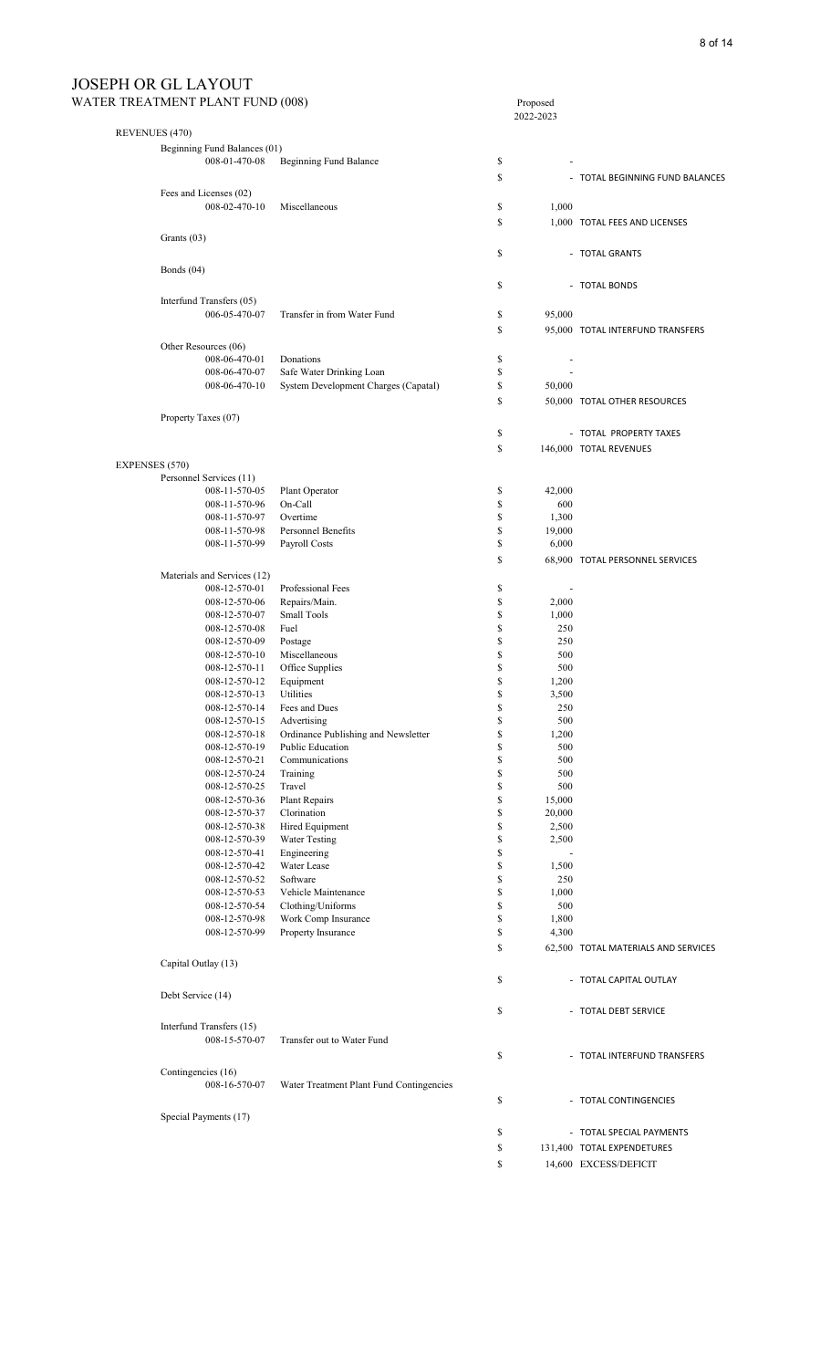| WATER TREATMENT PLANT FUND (008) | Proposed |
|----------------------------------|----------|
|----------------------------------|----------|

|                |                              |                                          | 2022-2023                      |                                     |
|----------------|------------------------------|------------------------------------------|--------------------------------|-------------------------------------|
| REVENUES (470) |                              |                                          |                                |                                     |
|                | Beginning Fund Balances (01) |                                          |                                |                                     |
|                | 008-01-470-08                | Beginning Fund Balance                   | \$                             |                                     |
|                |                              |                                          |                                |                                     |
|                |                              |                                          | \$                             | - TOTAL BEGINNING FUND BALANCES     |
|                | Fees and Licenses (02)       |                                          |                                |                                     |
|                | 008-02-470-10                | Miscellaneous                            | \$<br>1,000                    |                                     |
|                |                              |                                          | \$                             | 1,000 TOTAL FEES AND LICENSES       |
|                | Grants (03)                  |                                          |                                |                                     |
|                |                              |                                          |                                |                                     |
|                |                              |                                          | \$                             | - TOTAL GRANTS                      |
|                | Bonds $(04)$                 |                                          |                                |                                     |
|                |                              |                                          | \$                             | - TOTAL BONDS                       |
|                | Interfund Transfers (05)     |                                          |                                |                                     |
|                | 006-05-470-07                | Transfer in from Water Fund              | \$<br>95,000                   |                                     |
|                |                              |                                          |                                |                                     |
|                |                              |                                          | \$                             | 95,000 TOTAL INTERFUND TRANSFERS    |
|                | Other Resources (06)         |                                          |                                |                                     |
|                | 008-06-470-01                | Donations                                | \$                             |                                     |
|                | 008-06-470-07                | Safe Water Drinking Loan                 | \$                             |                                     |
|                | 008-06-470-10                | System Development Charges (Capatal)     | \$<br>50,000                   |                                     |
|                |                              |                                          | \$                             |                                     |
|                |                              |                                          |                                | 50,000 TOTAL OTHER RESOURCES        |
|                | Property Taxes (07)          |                                          |                                |                                     |
|                |                              |                                          | \$                             | - TOTAL PROPERTY TAXES              |
|                |                              |                                          | \$                             | 146,000 TOTAL REVENUES              |
|                |                              |                                          |                                |                                     |
| EXPENSES (570) |                              |                                          |                                |                                     |
|                | Personnel Services (11)      |                                          |                                |                                     |
|                | 008-11-570-05                | Plant Operator                           | \$<br>42,000                   |                                     |
|                | 008-11-570-96                | On-Call                                  | \$<br>600                      |                                     |
|                | 008-11-570-97                | Overtime                                 | \$<br>1,300                    |                                     |
|                | 008-11-570-98                | Personnel Benefits                       | \$<br>19,000                   |                                     |
|                | 008-11-570-99                | Payroll Costs                            | \$<br>6,000                    |                                     |
|                |                              |                                          | \$                             | 68,900 TOTAL PERSONNEL SERVICES     |
|                |                              |                                          |                                |                                     |
|                | Materials and Services (12)  |                                          |                                |                                     |
|                | 008-12-570-01                | Professional Fees                        | \$<br>$\overline{\phantom{a}}$ |                                     |
|                | 008-12-570-06                | Repairs/Main.                            | \$<br>2,000                    |                                     |
|                | 008-12-570-07                | Small Tools                              | \$<br>1,000                    |                                     |
|                | 008-12-570-08                | Fuel                                     | \$<br>250                      |                                     |
|                | 008-12-570-09                | Postage                                  | \$<br>250                      |                                     |
|                | 008-12-570-10                | Miscellaneous                            | \$<br>500                      |                                     |
|                | 008-12-570-11                | Office Supplies                          | \$<br>500                      |                                     |
|                | 008-12-570-12                | Equipment                                | \$<br>1,200                    |                                     |
|                | 008-12-570-13                | Utilities                                | \$<br>3,500                    |                                     |
|                |                              |                                          |                                |                                     |
|                | 008-12-570-14                | Fees and Dues                            | \$<br>250                      |                                     |
|                | 008-12-570-15                | Advertising                              | \$<br>500                      |                                     |
|                | 008-12-570-18                | Ordinance Publishing and Newsletter      | \$<br>1,200                    |                                     |
|                | 008-12-570-19                | Public Education                         | \$<br>500                      |                                     |
|                | 008-12-570-21                | Communications                           | \$<br>500                      |                                     |
|                | 008-12-570-24                | Training                                 | \$<br>500                      |                                     |
|                | 008-12-570-25                | Travel                                   | \$<br>500                      |                                     |
|                | 008-12-570-36                | Plant Repairs                            | \$<br>15,000                   |                                     |
|                | 008-12-570-37                | Clorination                              | \$<br>20,000                   |                                     |
|                | 008-12-570-38                | Hired Equipment                          | \$<br>2,500                    |                                     |
|                | 008-12-570-39                | <b>Water Testing</b>                     | \$<br>2,500                    |                                     |
|                | 008-12-570-41                | Engineering                              | \$                             |                                     |
|                | 008-12-570-42                | Water Lease                              | \$<br>1,500                    |                                     |
|                | 008-12-570-52                | Software                                 | \$<br>250                      |                                     |
|                | 008-12-570-53                | Vehicle Maintenance                      | \$<br>1,000                    |                                     |
|                |                              |                                          |                                |                                     |
|                | 008-12-570-54                | Clothing/Uniforms                        | \$<br>500                      |                                     |
|                | 008-12-570-98                | Work Comp Insurance                      | \$<br>1,800                    |                                     |
|                | 008-12-570-99                | Property Insurance                       | \$<br>4,300                    |                                     |
|                |                              |                                          | \$                             | 62,500 TOTAL MATERIALS AND SERVICES |
|                | Capital Outlay (13)          |                                          |                                |                                     |
|                |                              |                                          |                                |                                     |
|                |                              |                                          | \$                             | - TOTAL CAPITAL OUTLAY              |
|                | Debt Service (14)            |                                          |                                |                                     |
|                |                              |                                          | \$                             | - TOTAL DEBT SERVICE                |
|                |                              |                                          |                                |                                     |
|                | Interfund Transfers (15)     |                                          |                                |                                     |
|                | 008-15-570-07                | Transfer out to Water Fund               |                                |                                     |
|                |                              |                                          | \$                             | - TOTAL INTERFUND TRANSFERS         |
|                | Contingencies (16)           |                                          |                                |                                     |
|                | 008-16-570-07                | Water Treatment Plant Fund Contingencies |                                |                                     |
|                |                              |                                          |                                |                                     |
|                |                              |                                          | \$                             | - TOTAL CONTINGENCIES               |
|                | Special Payments (17)        |                                          |                                |                                     |
|                |                              |                                          | \$                             | - TOTAL SPECIAL PAYMENTS            |
|                |                              |                                          |                                |                                     |
|                |                              |                                          | \$                             | 131,400 TOTAL EXPENDETURES          |
|                |                              |                                          | \$                             | 14,600 EXCESS/DEFICIT               |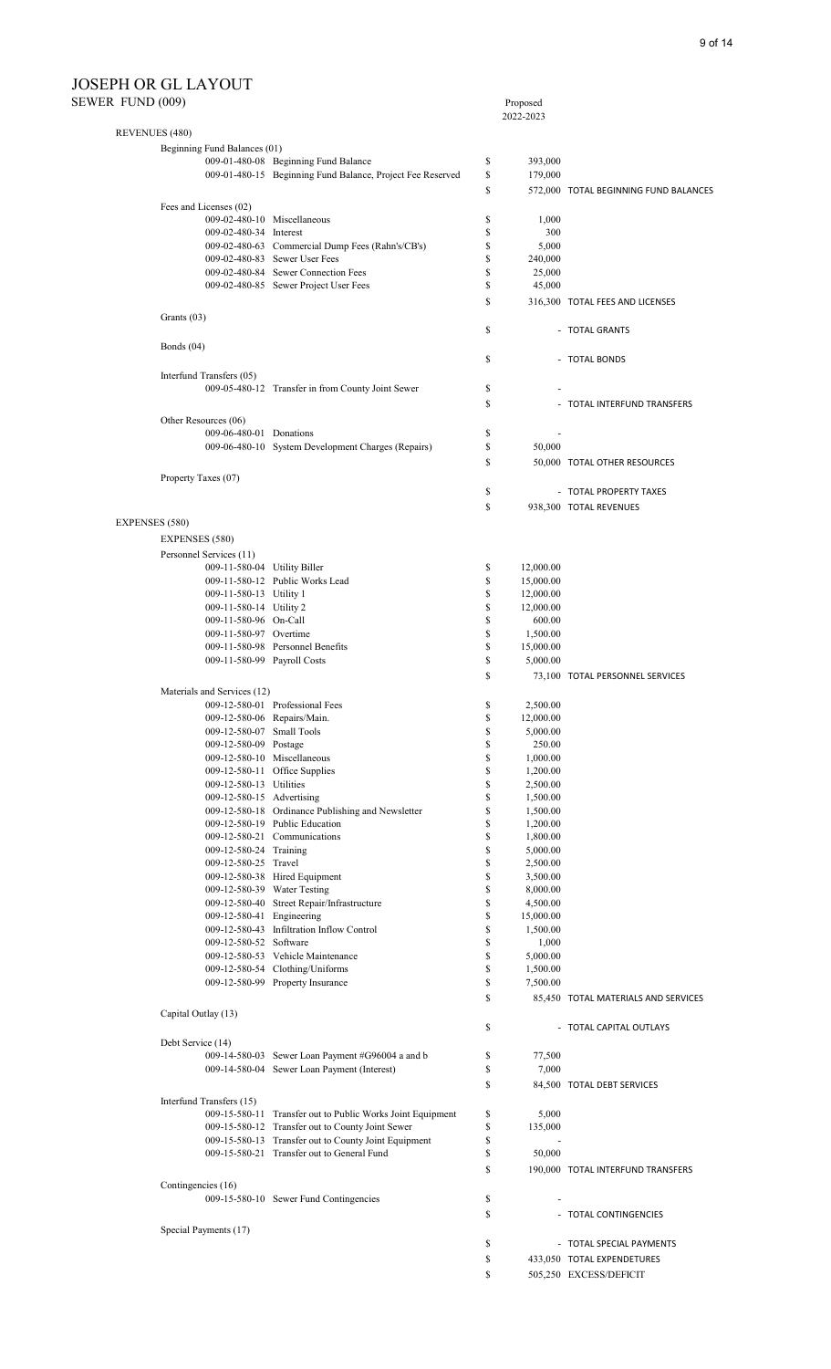#### SEWER

| ER FUND (009)                                        |                                                            |          | Proposed             |                                       |
|------------------------------------------------------|------------------------------------------------------------|----------|----------------------|---------------------------------------|
|                                                      |                                                            |          | 2022-2023            |                                       |
| REVENUES (480)<br>Beginning Fund Balances (01)       |                                                            |          |                      |                                       |
|                                                      | 009-01-480-08 Beginning Fund Balance                       | \$       | 393,000              |                                       |
|                                                      | 009-01-480-15 Beginning Fund Balance, Project Fee Reserved | \$       | 179,000              |                                       |
|                                                      |                                                            | \$       |                      | 572,000 TOTAL BEGINNING FUND BALANCES |
| Fees and Licenses (02)                               |                                                            |          |                      |                                       |
|                                                      | 009-02-480-10 Miscellaneous                                | \$       | 1,000                |                                       |
| 009-02-480-34 Interest                               |                                                            | \$       | 300                  |                                       |
|                                                      | 009-02-480-63 Commercial Dump Fees (Rahn's/CB's)           | \$       | 5,000                |                                       |
|                                                      | 009-02-480-83 Sewer User Fees                              | \$       | 240,000              |                                       |
|                                                      | 009-02-480-84 Sewer Connection Fees                        | \$       | 25,000               |                                       |
|                                                      | 009-02-480-85 Sewer Project User Fees                      | \$       | 45,000               |                                       |
| Grants $(03)$                                        |                                                            | \$       |                      | 316,300 TOTAL FEES AND LICENSES       |
|                                                      |                                                            | \$       |                      | - TOTAL GRANTS                        |
| Bonds $(04)$                                         |                                                            | \$       |                      | - TOTAL BONDS                         |
| Interfund Transfers (05)                             |                                                            |          |                      |                                       |
|                                                      | 009-05-480-12 Transfer in from County Joint Sewer          | \$       |                      |                                       |
|                                                      |                                                            | \$       |                      | - TOTAL INTERFUND TRANSFERS           |
| Other Resources (06)                                 |                                                            |          |                      |                                       |
| 009-06-480-01 Donations                              |                                                            | \$       |                      |                                       |
|                                                      | 009-06-480-10 System Development Charges (Repairs)         | \$       | 50,000               |                                       |
|                                                      |                                                            | \$       |                      | 50,000 TOTAL OTHER RESOURCES          |
| Property Taxes (07)                                  |                                                            |          |                      |                                       |
|                                                      |                                                            | \$       |                      | - TOTAL PROPERTY TAXES                |
|                                                      |                                                            | \$       |                      | 938,300 TOTAL REVENUES                |
| <b>EXPENSES</b> (580)                                |                                                            |          |                      |                                       |
| <b>EXPENSES</b> (580)                                |                                                            |          |                      |                                       |
| Personnel Services (11)                              |                                                            |          |                      |                                       |
| 009-11-580-04 Utility Biller                         |                                                            | \$       | 12,000.00            |                                       |
|                                                      | 009-11-580-12 Public Works Lead                            | \$       | 15,000.00            |                                       |
| 009-11-580-13 Utility 1                              |                                                            | \$       | 12,000.00            |                                       |
| 009-11-580-14 Utility 2                              |                                                            | \$       | 12,000.00            |                                       |
| 009-11-580-96 On-Call                                |                                                            | \$       | 600.00               |                                       |
| 009-11-580-97 Overtime                               |                                                            | \$       | 1,500.00             |                                       |
|                                                      | 009-11-580-98 Personnel Benefits                           | \$       | 15,000.00            |                                       |
| 009-11-580-99 Payroll Costs                          |                                                            | \$       | 5,000.00             |                                       |
|                                                      |                                                            | \$       |                      | 73,100 TOTAL PERSONNEL SERVICES       |
| Materials and Services (12)                          |                                                            |          |                      |                                       |
|                                                      | 009-12-580-01 Professional Fees                            | \$       | 2,500.00             |                                       |
|                                                      | 009-12-580-06 Repairs/Main.                                | \$       | 12,000.00            |                                       |
| 009-12-580-07 Small Tools                            |                                                            | \$       | 5,000.00             |                                       |
| 009-12-580-09 Postage                                |                                                            | \$       | 250.00               |                                       |
|                                                      | 009-12-580-10 Miscellaneous                                | \$       | 1,000.00             |                                       |
|                                                      | 009-12-580-11 Office Supplies                              | \$       | 1,200.00             |                                       |
| 009-12-580-13 Utilities<br>009-12-580-15 Advertising |                                                            | \$       | 2,500.00             |                                       |
|                                                      | 009-12-580-18 Ordinance Publishing and Newsletter          | \$<br>\$ | 1,500.00             |                                       |
|                                                      | 009-12-580-19 Public Education                             | \$       | 1,500.00<br>1,200.00 |                                       |
|                                                      | 009-12-580-21 Communications                               | \$       | 1,800.00             |                                       |
| 009-12-580-24 Training                               |                                                            | \$       | 5,000.00             |                                       |
| 009-12-580-25 Travel                                 |                                                            | \$       | 2,500.00             |                                       |
|                                                      | 009-12-580-38 Hired Equipment                              | \$       | 3,500.00             |                                       |
|                                                      | 009-12-580-39 Water Testing                                | \$       | 8,000.00             |                                       |
|                                                      | 009-12-580-40 Street Repair/Infrastructure                 | \$       | 4,500.00             |                                       |
| 009-12-580-41 Engineering                            |                                                            | \$       | 15,000.00            |                                       |
|                                                      | 009-12-580-43 Infiltration Inflow Control                  | \$       | 1,500.00             |                                       |
| 009-12-580-52 Software                               |                                                            | \$       | 1,000                |                                       |
|                                                      | 009-12-580-53 Vehicle Maintenance                          | \$       | 5,000.00             |                                       |
|                                                      | 009-12-580-54 Clothing/Uniforms                            | \$       | 1,500.00             |                                       |
|                                                      | 009-12-580-99 Property Insurance                           | \$       | 7,500.00             |                                       |
|                                                      |                                                            | \$       |                      | 85,450 TOTAL MATERIALS AND SERVICES   |
| Capital Outlay (13)                                  |                                                            | \$       |                      | - TOTAL CAPITAL OUTLAYS               |
| Debt Service (14)                                    |                                                            |          |                      |                                       |
|                                                      | 009-14-580-03 Sewer Loan Payment #G96004 a and b           | \$       | 77,500               |                                       |
|                                                      | 009-14-580-04 Sewer Loan Payment (Interest)                | \$       | 7,000                |                                       |
|                                                      |                                                            | \$       |                      | 84,500 TOTAL DEBT SERVICES            |
| Interfund Transfers (15)                             |                                                            |          |                      |                                       |
|                                                      | 009-15-580-11 Transfer out to Public Works Joint Equipment | \$       | 5,000                |                                       |
|                                                      | 009-15-580-12 Transfer out to County Joint Sewer           | \$       | 135,000              |                                       |
|                                                      | 009-15-580-13 Transfer out to County Joint Equipment       | \$       |                      |                                       |
|                                                      | 009-15-580-21 Transfer out to General Fund                 | \$       | 50,000               |                                       |
|                                                      |                                                            | \$       |                      | 190,000 TOTAL INTERFUND TRANSFERS     |
| Contingencies (16)                                   |                                                            |          |                      |                                       |
|                                                      | 009-15-580-10 Sewer Fund Contingencies                     | \$       |                      |                                       |
|                                                      |                                                            | \$       |                      | - TOTAL CONTINGENCIES                 |
| Special Payments (17)                                |                                                            |          |                      |                                       |
|                                                      |                                                            | \$       |                      | - TOTAL SPECIAL PAYMENTS              |
|                                                      |                                                            | \$       |                      | 433,050 TOTAL EXPENDETURES            |
|                                                      |                                                            | \$       |                      | 505,250 EXCESS/DEFICIT                |
|                                                      |                                                            |          |                      |                                       |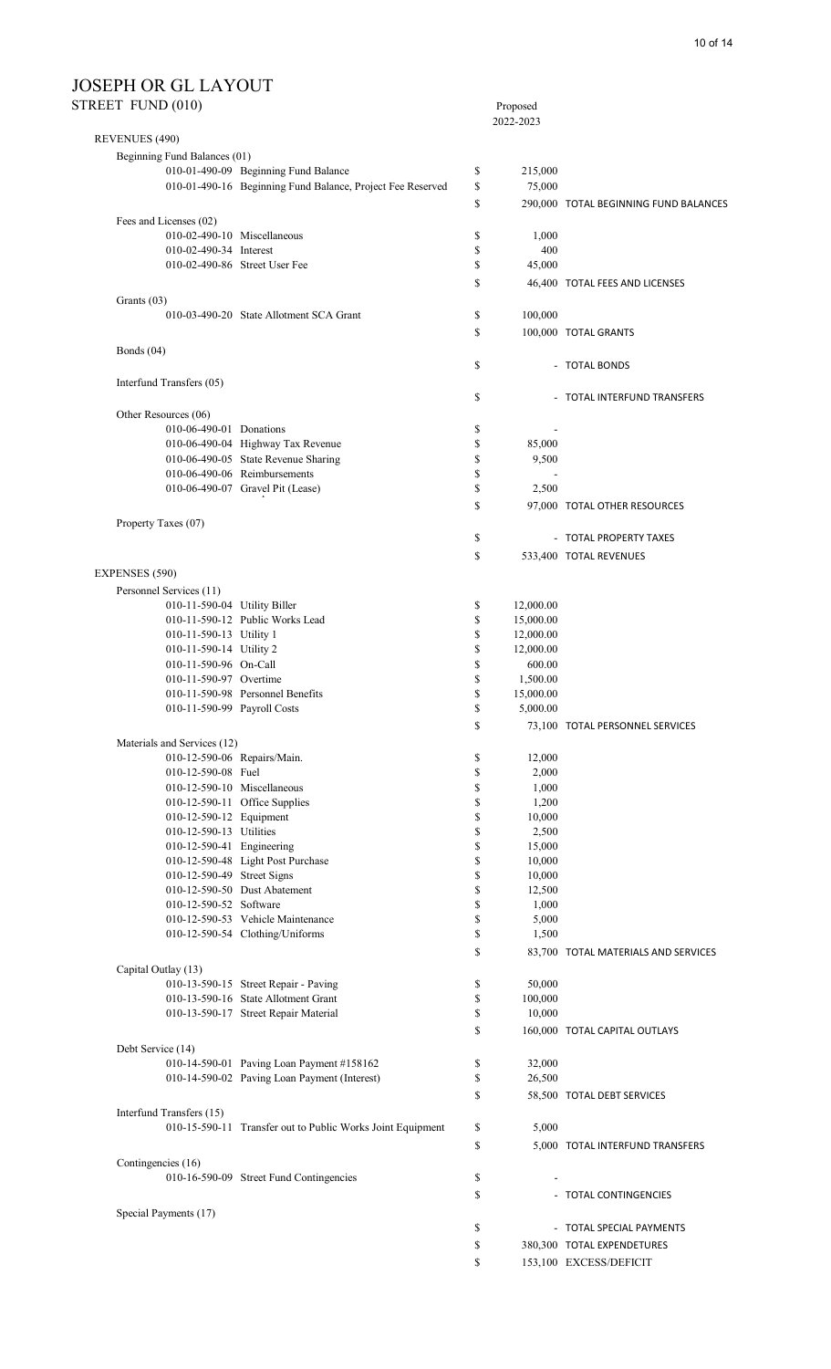# JOSEPH OR GL LAYOUT<br>STREET FUND (010)

| STREET FUND (010)            |                                                            |          | Proposed<br>2022-2023 |                                       |
|------------------------------|------------------------------------------------------------|----------|-----------------------|---------------------------------------|
| REVENUES (490)               |                                                            |          |                       |                                       |
| Beginning Fund Balances (01) |                                                            |          |                       |                                       |
|                              | 010-01-490-09 Beginning Fund Balance                       | \$       | 215,000               |                                       |
|                              | 010-01-490-16 Beginning Fund Balance, Project Fee Reserved | \$       | 75,000                |                                       |
|                              |                                                            | \$       |                       | 290,000 TOTAL BEGINNING FUND BALANCES |
| Fees and Licenses (02)       |                                                            |          |                       |                                       |
|                              | 010-02-490-10 Miscellaneous                                | \$       | 1,000                 |                                       |
| 010-02-490-34 Interest       |                                                            | \$       | 400                   |                                       |
|                              | 010-02-490-86 Street User Fee                              | \$       | 45,000                |                                       |
|                              |                                                            | \$       |                       | 46,400 TOTAL FEES AND LICENSES        |
| Grants (03)                  |                                                            |          |                       |                                       |
|                              | 010-03-490-20 State Allotment SCA Grant                    | \$       | 100,000               |                                       |
|                              |                                                            | \$       |                       | 100,000 TOTAL GRANTS                  |
| Bonds $(04)$                 |                                                            | \$       |                       | - TOTAL BONDS                         |
| Interfund Transfers (05)     |                                                            |          |                       |                                       |
|                              |                                                            | \$       |                       | - TOTAL INTERFUND TRANSFERS           |
| Other Resources (06)         |                                                            |          |                       |                                       |
| 010-06-490-01 Donations      |                                                            | \$       |                       |                                       |
|                              | 010-06-490-04 Highway Tax Revenue                          | \$       | 85,000                |                                       |
|                              | 010-06-490-05 State Revenue Sharing                        | \$       | 9,500                 |                                       |
|                              | 010-06-490-06 Reimbursements                               | \$       |                       |                                       |
|                              | 010-06-490-07 Gravel Pit (Lease)                           | \$       | 2,500                 |                                       |
|                              |                                                            | \$       |                       | 97,000 TOTAL OTHER RESOURCES          |
| Property Taxes (07)          |                                                            |          |                       |                                       |
|                              |                                                            | \$       |                       | - TOTAL PROPERTY TAXES                |
|                              |                                                            | \$       |                       | 533,400 TOTAL REVENUES                |
| <b>EXPENSES (590)</b>        |                                                            |          |                       |                                       |
| Personnel Services (11)      |                                                            |          |                       |                                       |
| 010-11-590-04 Utility Biller |                                                            | \$       | 12,000.00             |                                       |
|                              | 010-11-590-12 Public Works Lead                            | \$       | 15,000.00             |                                       |
| 010-11-590-13 Utility 1      |                                                            | \$       | 12,000.00             |                                       |
| 010-11-590-14 Utility 2      |                                                            | \$       | 12,000.00             |                                       |
| 010-11-590-96 On-Call        |                                                            | \$       | 600.00                |                                       |
| 010-11-590-97 Overtime       |                                                            | \$       | 1,500.00              |                                       |
|                              | 010-11-590-98 Personnel Benefits                           | \$       | 15,000.00             |                                       |
| 010-11-590-99 Payroll Costs  |                                                            | \$       | 5,000.00              |                                       |
|                              |                                                            | \$       |                       | 73,100 TOTAL PERSONNEL SERVICES       |
| Materials and Services (12)  |                                                            |          |                       |                                       |
|                              | 010-12-590-06 Repairs/Main.                                | \$       | 12,000                |                                       |
| 010-12-590-08 Fuel           |                                                            | \$       | 2,000                 |                                       |
|                              | 010-12-590-10 Miscellaneous                                | \$       | 1,000                 |                                       |
|                              | 010-12-590-11 Office Supplies                              | \$       | 1,200                 |                                       |
| 010-12-590-12 Equipment      |                                                            | \$       | 10,000                |                                       |
| 010-12-590-13 Utilities      |                                                            | \$       | 2,500                 |                                       |
| 010-12-590-41 Engineering    |                                                            | \$       | 15,000                |                                       |
|                              | 010-12-590-48 Light Post Purchase                          | \$       | 10,000                |                                       |
| 010-12-590-49 Street Signs   |                                                            | \$       | 10,000                |                                       |
| 010-12-590-52 Software       | 010-12-590-50 Dust Abatement                               | \$       | 12,500                |                                       |
|                              | 010-12-590-53 Vehicle Maintenance                          | \$<br>\$ | 1,000                 |                                       |
|                              | 010-12-590-54 Clothing/Uniforms                            | \$       | 5,000<br>1,500        |                                       |
|                              |                                                            | \$       |                       | 83,700 TOTAL MATERIALS AND SERVICES   |
| Capital Outlay (13)          |                                                            |          |                       |                                       |
|                              | 010-13-590-15 Street Repair - Paving                       | \$       | 50,000                |                                       |
|                              | 010-13-590-16 State Allotment Grant                        | \$       | 100,000               |                                       |
|                              | 010-13-590-17 Street Repair Material                       | \$       | 10,000                |                                       |
|                              |                                                            | \$       |                       | 160,000 TOTAL CAPITAL OUTLAYS         |
| Debt Service (14)            |                                                            |          |                       |                                       |
|                              | 010-14-590-01 Paving Loan Payment #158162                  | \$       | 32,000                |                                       |
|                              | 010-14-590-02 Paving Loan Payment (Interest)               | \$       | 26,500                |                                       |
|                              |                                                            | \$       |                       | 58,500 TOTAL DEBT SERVICES            |
| Interfund Transfers (15)     |                                                            |          |                       |                                       |
|                              | 010-15-590-11 Transfer out to Public Works Joint Equipment | \$       | 5,000                 |                                       |
|                              |                                                            | \$       |                       | 5,000 TOTAL INTERFUND TRANSFERS       |
| Contingencies (16)           |                                                            |          |                       |                                       |
|                              | 010-16-590-09 Street Fund Contingencies                    | \$       |                       |                                       |
|                              |                                                            | \$       |                       | - TOTAL CONTINGENCIES                 |
| Special Payments (17)        |                                                            |          |                       |                                       |
|                              |                                                            | \$       |                       | - TOTAL SPECIAL PAYMENTS              |
|                              |                                                            | \$       |                       | 380,300 TOTAL EXPENDETURES            |
|                              |                                                            | \$       |                       | 153,100 EXCESS/DEFICIT                |
|                              |                                                            |          |                       |                                       |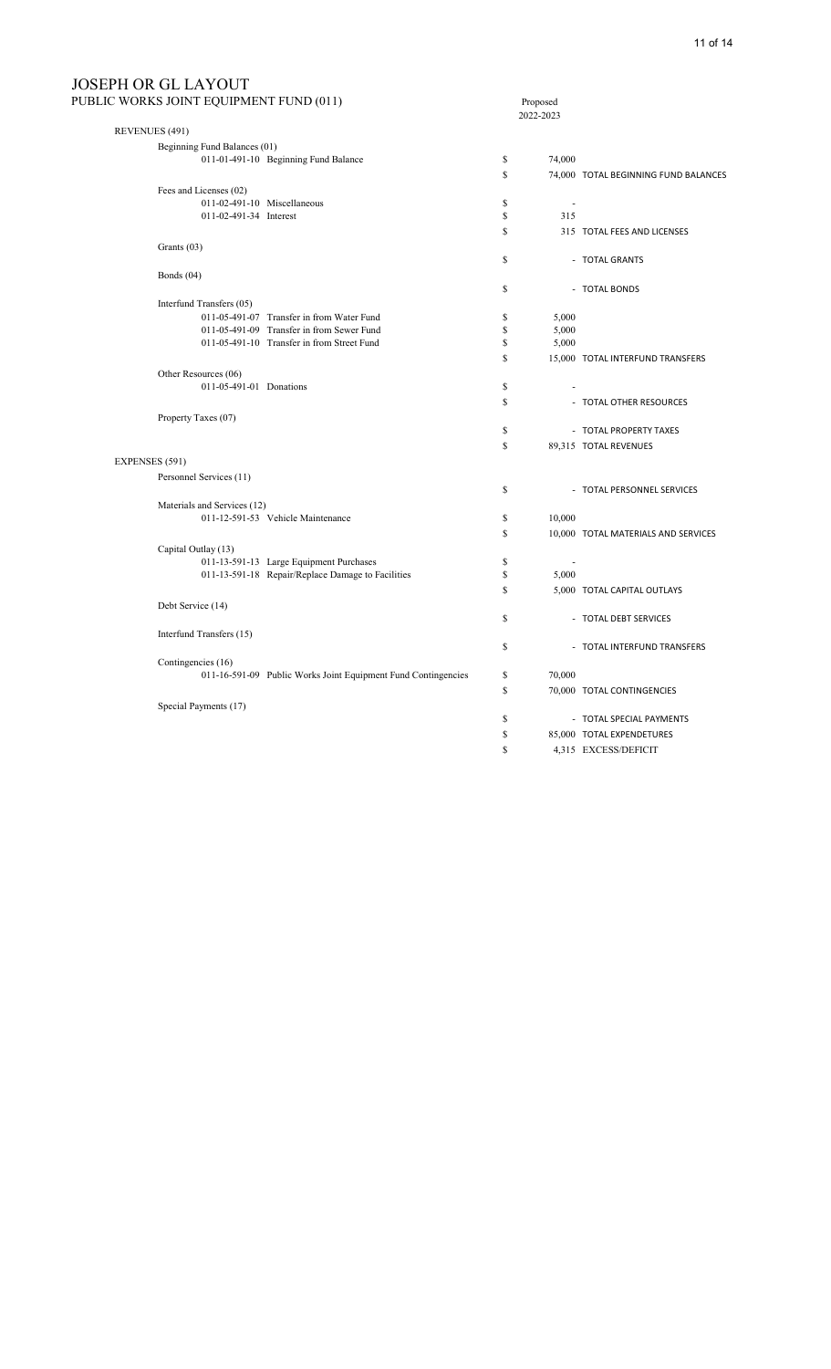## JOSEPH OR GL LAYOUT<br>PUBLIC WORKS JOINT EQUIPM

| PUBLIC WORKS JOINT EQUIPMENT FUND (011)                                                      |          | Proposed<br>2022-2023    |                                      |  |
|----------------------------------------------------------------------------------------------|----------|--------------------------|--------------------------------------|--|
| REVENUES (491)                                                                               |          |                          |                                      |  |
| Beginning Fund Balances (01)                                                                 |          |                          |                                      |  |
| 011-01-491-10 Beginning Fund Balance                                                         | \$       | 74,000                   |                                      |  |
|                                                                                              | \$       |                          | 74,000 TOTAL BEGINNING FUND BALANCES |  |
| Fees and Licenses (02)                                                                       |          |                          |                                      |  |
| 011-02-491-10 Miscellaneous                                                                  | \$       | $\overline{\phantom{a}}$ |                                      |  |
| 011-02-491-34 Interest                                                                       | \$       | 315                      |                                      |  |
|                                                                                              | \$       |                          | 315 TOTAL FEES AND LICENSES          |  |
| Grants (03)                                                                                  |          |                          |                                      |  |
|                                                                                              | \$       |                          | - TOTAL GRANTS                       |  |
| Bonds $(04)$                                                                                 |          |                          |                                      |  |
|                                                                                              | \$       |                          | - TOTAL BONDS                        |  |
| Interfund Transfers (05)                                                                     |          |                          |                                      |  |
| 011-05-491-07 Transfer in from Water Fund                                                    | \$       | 5,000                    |                                      |  |
| 011-05-491-09 Transfer in from Sewer Fund                                                    | \$       | 5,000                    |                                      |  |
| 011-05-491-10 Transfer in from Street Fund                                                   | \$       | 5,000                    |                                      |  |
|                                                                                              | S        |                          | 15,000 TOTAL INTERFUND TRANSFERS     |  |
| Other Resources (06)                                                                         |          |                          |                                      |  |
| 011-05-491-01 Donations                                                                      | \$       |                          |                                      |  |
|                                                                                              | \$       |                          | - TOTAL OTHER RESOURCES              |  |
| Property Taxes (07)                                                                          |          |                          |                                      |  |
|                                                                                              | \$       |                          | - TOTAL PROPERTY TAXES               |  |
|                                                                                              | \$       |                          | 89,315 TOTAL REVENUES                |  |
| EXPENSES (591)                                                                               |          |                          |                                      |  |
| Personnel Services (11)                                                                      |          |                          |                                      |  |
|                                                                                              | \$       |                          | - TOTAL PERSONNEL SERVICES           |  |
| Materials and Services (12)                                                                  |          |                          |                                      |  |
| 011-12-591-53 Vehicle Maintenance                                                            | \$       | 10,000                   |                                      |  |
|                                                                                              | S        |                          | 10,000 TOTAL MATERIALS AND SERVICES  |  |
|                                                                                              |          |                          |                                      |  |
| Capital Outlay (13)                                                                          |          | ÷,                       |                                      |  |
| 011-13-591-13 Large Equipment Purchases<br>011-13-591-18 Repair/Replace Damage to Facilities | \$<br>\$ | 5,000                    |                                      |  |
|                                                                                              | S        |                          |                                      |  |
|                                                                                              |          |                          | 5,000 TOTAL CAPITAL OUTLAYS          |  |
| Debt Service (14)                                                                            | \$       |                          |                                      |  |
|                                                                                              |          |                          | - TOTAL DEBT SERVICES                |  |
| Interfund Transfers (15)                                                                     |          |                          |                                      |  |
|                                                                                              | \$       |                          | - TOTAL INTERFUND TRANSFERS          |  |
| Contingencies (16)                                                                           | \$       | 70,000                   |                                      |  |
| 011-16-591-09 Public Works Joint Equipment Fund Contingencies                                |          |                          |                                      |  |
|                                                                                              | \$       |                          | 70,000 TOTAL CONTINGENCIES           |  |
| Special Payments (17)                                                                        |          |                          |                                      |  |
|                                                                                              | \$       |                          | - TOTAL SPECIAL PAYMENTS             |  |
|                                                                                              | \$       |                          | 85,000 TOTAL EXPENDETURES            |  |
|                                                                                              | \$       |                          | 4,315 EXCESS/DEFICIT                 |  |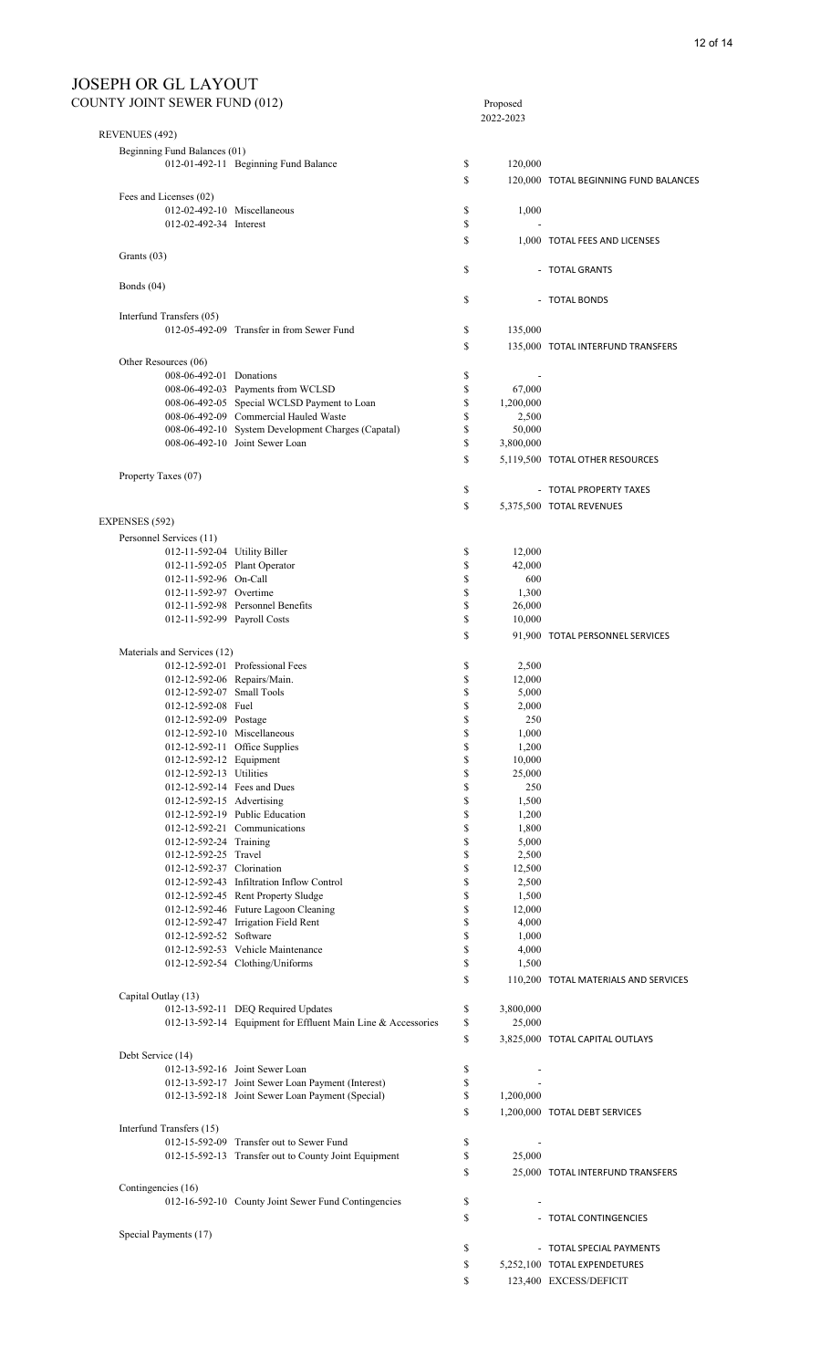| <b>COUNTY JOINT SEWER FUND (012)</b> |                                                                                                       |          | Proposed           |                                       |
|--------------------------------------|-------------------------------------------------------------------------------------------------------|----------|--------------------|---------------------------------------|
| REVENUES (492)                       |                                                                                                       |          | 2022-2023          |                                       |
| Beginning Fund Balances (01)         |                                                                                                       |          |                    |                                       |
|                                      | 012-01-492-11 Beginning Fund Balance                                                                  | \$       | 120,000            |                                       |
|                                      |                                                                                                       |          |                    |                                       |
|                                      |                                                                                                       | S        |                    | 120,000 TOTAL BEGINNING FUND BALANCES |
| Fees and Licenses (02)               |                                                                                                       |          |                    |                                       |
|                                      | 012-02-492-10 Miscellaneous                                                                           | \$       | 1,000              |                                       |
| 012-02-492-34 Interest               |                                                                                                       | \$       |                    |                                       |
|                                      |                                                                                                       | \$       |                    | 1,000 TOTAL FEES AND LICENSES         |
| Grants (03)                          |                                                                                                       |          |                    |                                       |
|                                      |                                                                                                       | \$       |                    | - TOTAL GRANTS                        |
| Bonds $(04)$                         |                                                                                                       |          |                    |                                       |
|                                      |                                                                                                       | \$       |                    | - TOTAL BONDS                         |
| Interfund Transfers (05)             |                                                                                                       |          |                    |                                       |
|                                      | 012-05-492-09 Transfer in from Sewer Fund                                                             | \$       | 135,000            |                                       |
|                                      |                                                                                                       | \$       |                    | 135,000 TOTAL INTERFUND TRANSFERS     |
| Other Resources (06)                 |                                                                                                       |          |                    |                                       |
| 008-06-492-01 Donations              |                                                                                                       | \$       |                    |                                       |
|                                      | 008-06-492-03 Payments from WCLSD<br>008-06-492-05 Special WCLSD Payment to Loan                      | \$       | 67,000             |                                       |
|                                      | 008-06-492-09 Commercial Hauled Waste                                                                 | \$<br>\$ | 1,200,000<br>2,500 |                                       |
|                                      | 008-06-492-10 System Development Charges (Capatal)                                                    | \$       | 50,000             |                                       |
|                                      | 008-06-492-10 Joint Sewer Loan                                                                        | \$       | 3,800,000          |                                       |
|                                      |                                                                                                       | \$       |                    | 5,119,500 TOTAL OTHER RESOURCES       |
| Property Taxes (07)                  |                                                                                                       |          |                    |                                       |
|                                      |                                                                                                       | \$       |                    | - TOTAL PROPERTY TAXES                |
|                                      |                                                                                                       | \$       |                    |                                       |
|                                      |                                                                                                       |          |                    | 5,375,500 TOTAL REVENUES              |
| EXPENSES (592)                       |                                                                                                       |          |                    |                                       |
| Personnel Services (11)              |                                                                                                       |          |                    |                                       |
| 012-11-592-04 Utility Biller         |                                                                                                       | \$       | 12,000             |                                       |
| 012-11-592-96 On-Call                | 012-11-592-05 Plant Operator                                                                          | \$<br>\$ | 42,000<br>600      |                                       |
| 012-11-592-97 Overtime               |                                                                                                       | \$       | 1,300              |                                       |
|                                      | 012-11-592-98 Personnel Benefits                                                                      | \$       | 26,000             |                                       |
| 012-11-592-99 Payroll Costs          |                                                                                                       | \$       | 10,000             |                                       |
|                                      |                                                                                                       | \$       |                    | 91,900 TOTAL PERSONNEL SERVICES       |
| Materials and Services (12)          |                                                                                                       |          |                    |                                       |
|                                      | 012-12-592-01 Professional Fees                                                                       | \$       | 2,500              |                                       |
|                                      | 012-12-592-06 Repairs/Main.                                                                           | \$       | 12,000             |                                       |
| 012-12-592-07 Small Tools            |                                                                                                       | \$       | 5,000              |                                       |
| 012-12-592-08 Fuel                   |                                                                                                       | \$       | 2,000              |                                       |
| 012-12-592-09 Postage                |                                                                                                       | \$       | 250                |                                       |
|                                      | 012-12-592-10 Miscellaneous                                                                           | \$       | 1,000              |                                       |
|                                      | 012-12-592-11 Office Supplies                                                                         | \$       | 1,200              |                                       |
| 012-12-592-12 Equipment              |                                                                                                       | \$       | 10,000             |                                       |
| 012-12-592-13 Utilities              |                                                                                                       | \$       | 25,000             |                                       |
| 012-12-592-15 Advertising            | 012-12-592-14 Fees and Dues                                                                           | \$<br>\$ | 250<br>1,500       |                                       |
|                                      | 012-12-592-19 Public Education                                                                        | \$       | 1,200              |                                       |
|                                      | 012-12-592-21 Communications                                                                          | \$       | 1,800              |                                       |
| 012-12-592-24 Training               |                                                                                                       | \$       | 5,000              |                                       |
| 012-12-592-25 Travel                 |                                                                                                       | \$       | 2,500              |                                       |
| 012-12-592-37 Clorination            |                                                                                                       | \$       | 12,500             |                                       |
|                                      | 012-12-592-43 Infiltration Inflow Control                                                             | \$       | 2,500              |                                       |
|                                      | 012-12-592-45 Rent Property Sludge                                                                    | \$       | 1,500              |                                       |
|                                      | 012-12-592-46 Future Lagoon Cleaning                                                                  | \$       | 12,000             |                                       |
|                                      | 012-12-592-47 Irrigation Field Rent                                                                   | \$       | 4,000              |                                       |
| 012-12-592-52 Software               |                                                                                                       | \$<br>\$ | 1,000              |                                       |
|                                      | 012-12-592-53 Vehicle Maintenance<br>012-12-592-54 Clothing/Uniforms                                  | \$       | 4,000<br>1,500     |                                       |
|                                      |                                                                                                       |          |                    |                                       |
|                                      |                                                                                                       | \$       |                    | 110,200 TOTAL MATERIALS AND SERVICES  |
| Capital Outlay (13)                  |                                                                                                       |          |                    |                                       |
|                                      | 012-13-592-11 DEQ Required Updates                                                                    | \$<br>\$ | 3,800,000          |                                       |
|                                      | 012-13-592-14 Equipment for Effluent Main Line & Accessories                                          |          | 25,000             |                                       |
|                                      |                                                                                                       | \$       |                    | 3,825,000 TOTAL CAPITAL OUTLAYS       |
| Debt Service (14)                    |                                                                                                       |          |                    |                                       |
|                                      | 012-13-592-16 Joint Sewer Loan                                                                        | \$       |                    |                                       |
|                                      | 012-13-592-17 Joint Sewer Loan Payment (Interest)<br>012-13-592-18 Joint Sewer Loan Payment (Special) | \$<br>\$ |                    |                                       |
|                                      |                                                                                                       |          | 1,200,000          |                                       |
|                                      |                                                                                                       | \$       |                    | 1,200,000 TOTAL DEBT SERVICES         |
| Interfund Transfers (15)             |                                                                                                       |          |                    |                                       |
|                                      | 012-15-592-09 Transfer out to Sewer Fund                                                              | \$<br>\$ |                    |                                       |
|                                      | 012-15-592-13 Transfer out to County Joint Equipment                                                  |          | 25,000             |                                       |
|                                      |                                                                                                       | \$       |                    | 25,000 TOTAL INTERFUND TRANSFERS      |
| Contingencies (16)                   |                                                                                                       |          |                    |                                       |
|                                      | 012-16-592-10 County Joint Sewer Fund Contingencies                                                   | \$       |                    |                                       |
|                                      |                                                                                                       | \$       |                    | - TOTAL CONTINGENCIES                 |
| Special Payments (17)                |                                                                                                       |          |                    |                                       |
|                                      |                                                                                                       | \$       |                    | - TOTAL SPECIAL PAYMENTS              |
|                                      |                                                                                                       | \$       |                    | 5,252,100 TOTAL EXPENDETURES          |
|                                      |                                                                                                       | \$       |                    | 123,400 EXCESS/DEFICIT                |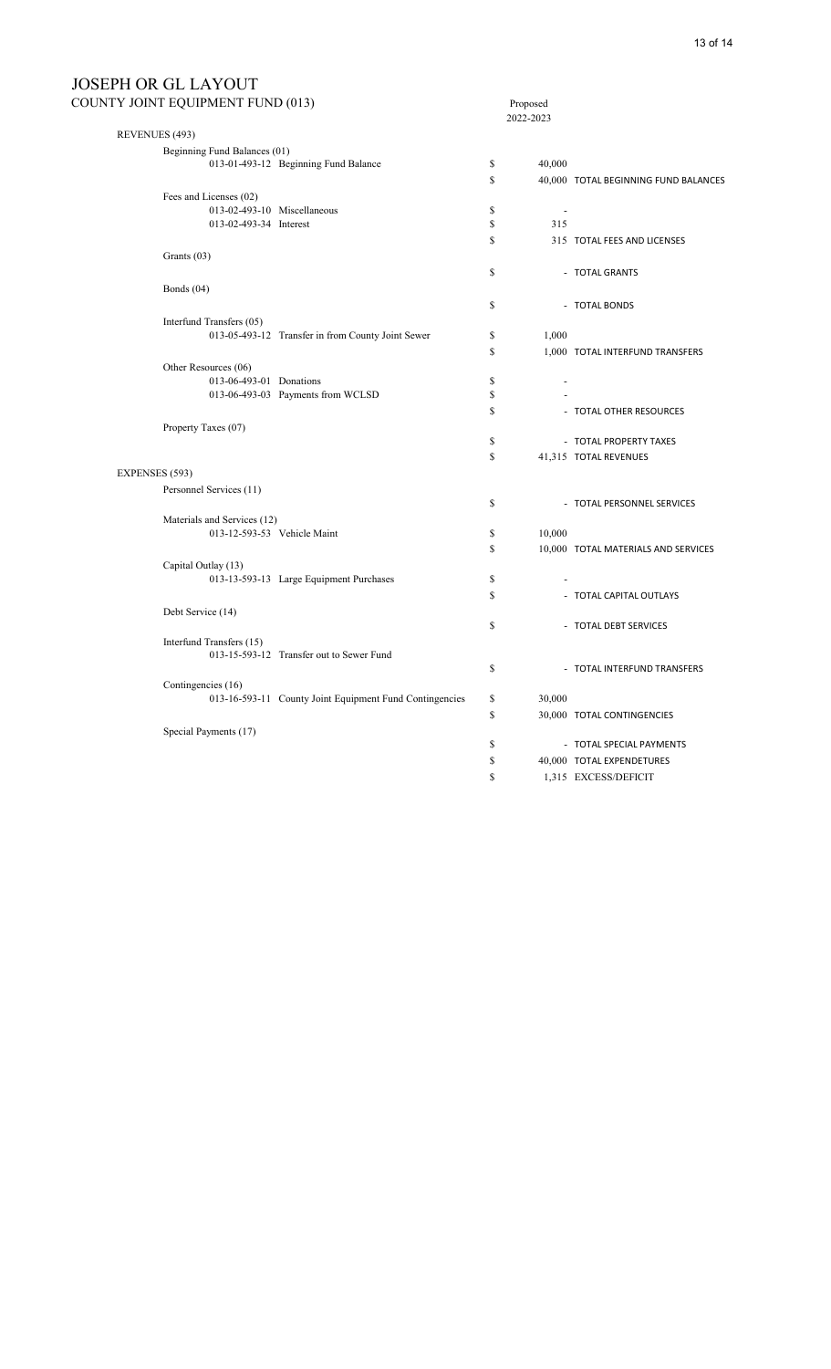# JOSEPH OR GL LAYOUT<br>county joint equipment fu

|                | COUNTY JOINT EQUIPMENT FUND (013) |                                                         |               | Proposed<br>2022-2023    |                                      |
|----------------|-----------------------------------|---------------------------------------------------------|---------------|--------------------------|--------------------------------------|
| REVENUES (493) |                                   |                                                         |               |                          |                                      |
|                | Beginning Fund Balances (01)      |                                                         |               |                          |                                      |
|                |                                   | 013-01-493-12 Beginning Fund Balance                    | \$            | 40,000                   |                                      |
|                |                                   |                                                         | $\mathbf S$   |                          | 40,000 TOTAL BEGINNING FUND BALANCES |
|                | Fees and Licenses (02)            |                                                         |               |                          |                                      |
|                | 013-02-493-10 Miscellaneous       |                                                         | $\$$          | $\overline{\phantom{a}}$ |                                      |
|                | 013-02-493-34 Interest            |                                                         | \$            | 315                      |                                      |
|                |                                   |                                                         | $\mathbf S$   |                          | 315 TOTAL FEES AND LICENSES          |
|                | Grants (03)                       |                                                         |               |                          |                                      |
|                |                                   |                                                         | \$            |                          | - TOTAL GRANTS                       |
|                | Bonds $(04)$                      |                                                         |               |                          |                                      |
|                |                                   |                                                         | \$            |                          | - TOTAL BONDS                        |
|                | Interfund Transfers (05)          |                                                         |               |                          |                                      |
|                |                                   | 013-05-493-12 Transfer in from County Joint Sewer       | \$            | 1,000                    |                                      |
|                |                                   |                                                         | <sup>\$</sup> |                          | 1,000 TOTAL INTERFUND TRANSFERS      |
|                | Other Resources (06)              |                                                         |               |                          |                                      |
|                | 013-06-493-01 Donations           |                                                         | \$            | $\overline{a}$           |                                      |
|                |                                   | 013-06-493-03 Payments from WCLSD                       | \$            |                          |                                      |
|                |                                   |                                                         | \$            |                          | - TOTAL OTHER RESOURCES              |
|                | Property Taxes (07)               |                                                         |               |                          |                                      |
|                |                                   |                                                         | $\mathbb{S}$  |                          | - TOTAL PROPERTY TAXES               |
|                |                                   |                                                         | $\mathbb{S}$  |                          | 41,315 TOTAL REVENUES                |
| EXPENSES (593) |                                   |                                                         |               |                          |                                      |
|                | Personnel Services (11)           |                                                         |               |                          |                                      |
|                |                                   |                                                         | $\mathbb{S}$  |                          | - TOTAL PERSONNEL SERVICES           |
|                | Materials and Services (12)       |                                                         |               |                          |                                      |
|                | 013-12-593-53 Vehicle Maint       |                                                         | \$            | 10,000                   |                                      |
|                |                                   |                                                         | $\mathbf S$   |                          | 10,000 TOTAL MATERIALS AND SERVICES  |
|                | Capital Outlay (13)               |                                                         |               |                          |                                      |
|                |                                   | 013-13-593-13 Large Equipment Purchases                 | $\mathbb{S}$  |                          |                                      |
|                |                                   |                                                         | $\mathbf S$   |                          | - TOTAL CAPITAL OUTLAYS              |
|                | Debt Service (14)                 |                                                         |               |                          |                                      |
|                |                                   |                                                         | $\mathbb{S}$  |                          | - TOTAL DEBT SERVICES                |
|                | Interfund Transfers (15)          | 013-15-593-12 Transfer out to Sewer Fund                |               |                          |                                      |
|                |                                   |                                                         | $\mathbb{S}$  |                          | - TOTAL INTERFUND TRANSFERS          |
|                | Contingencies (16)                |                                                         |               |                          |                                      |
|                |                                   | 013-16-593-11 County Joint Equipment Fund Contingencies | \$            | 30,000                   |                                      |
|                |                                   |                                                         | $\mathbb{S}$  |                          | 30,000 TOTAL CONTINGENCIES           |
|                | Special Payments (17)             |                                                         |               |                          |                                      |
|                |                                   |                                                         | \$            |                          | - TOTAL SPECIAL PAYMENTS             |
|                |                                   |                                                         | \$            |                          | 40,000 TOTAL EXPENDETURES            |
|                |                                   |                                                         | <sup>\$</sup> |                          | 1,315 EXCESS/DEFICIT                 |
|                |                                   |                                                         |               |                          |                                      |